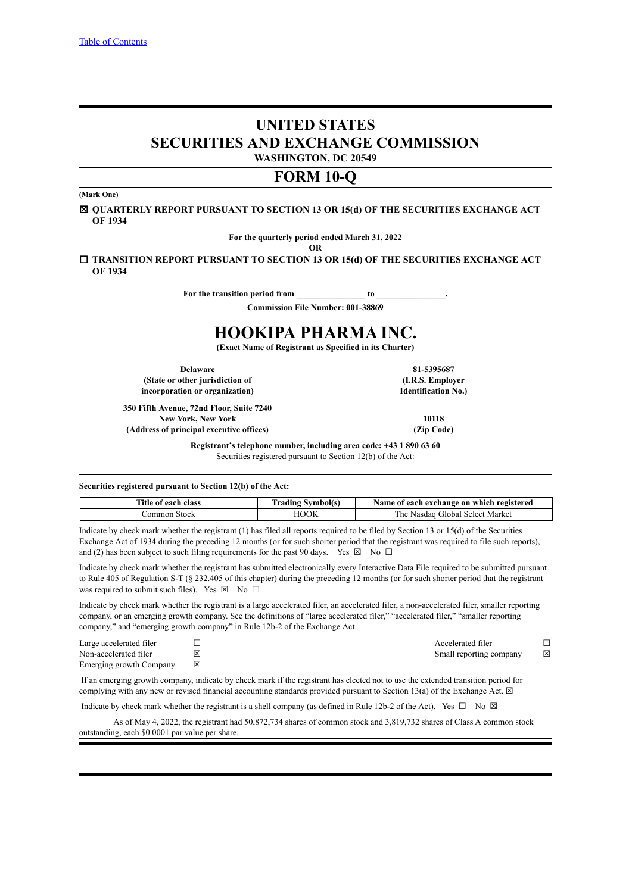# **UNITED STATES SECURITIES AND EXCHANGE COMMISSION**

**WASHINGTON, DC 20549**

# **FORM 10-Q**

**(Mark One)**

☒ **QUARTERLY REPORT PURSUANT TO SECTION 13 OR 15(d) OF THE SECURITIES EXCHANGE ACT OF 1934**

**For the quarterly period ended March 31, 2022**

**OR**

☐ **TRANSITION REPORT PURSUANT TO SECTION 13 OR 15(d) OF THE SECURITIES EXCHANGE ACT OF 1934**

For the transition period from to **b** 

**Commission File Number: 001-38869**

# **HOOKIPA PHARMA INC.**

**(Exact Name of Registrant as Specified in its Charter)**

**(State or other jurisdiction of incorporation or organization)**

**Delaware 81-5395687 (I.R.S. Employer Identification No.)**

**350 Fifth Avenue, 72nd Floor, Suite 7240 New York, New York 10118 (Address of principal executive offices) (Zip Code)**

**Registrant's telephone number, including area code: +43 1 890 63 60** Securities registered pursuant to Section 12(b) of the Act:

### **Securities registered pursuant to Section 12(b) of the Act:**

| Title of each class | Trading Symbol(s) | Name of each exchange on which registered  |
|---------------------|-------------------|--------------------------------------------|
| ∴ommon Stock        | <b>HOOK</b>       | Global Select Market<br>∴ Nasdaq ′<br>. he |

Indicate by check mark whether the registrant (1) has filed all reports required to be filed by Section 13 or 15(d) of the Securities Exchange Act of 1934 during the preceding 12 months (or for such shorter period that the registrant was required to file such reports), and (2) has been subject to such filing requirements for the past 90 days. Yes  $\boxtimes$  No  $\Box$ 

Indicate by check mark whether the registrant has submitted electronically every Interactive Data File required to be submitted pursuant to Rule 405 of Regulation S-T (§ 232.405 of this chapter) during the preceding 12 months (or for such shorter period that the registrant was required to submit such files). Yes  $\boxtimes$  No  $\Box$ 

Indicate by check mark whether the registrant is a large accelerated filer, an accelerated filer, a non-accelerated filer, smaller reporting company, or an emerging growth company. See the definitions of "large accelerated filer," "accelerated filer," "smaller reporting company," and "emerging growth company" in Rule 12b-2 of the Exchange Act.

| Large accelerated filer |   | Accelerated filer       |   |
|-------------------------|---|-------------------------|---|
| Non-accelerated filer   | ⊠ | Small reporting company | ⊠ |
| Emerging growth Company |   |                         |   |

If an emerging growth company, indicate by check mark if the registrant has elected not to use the extended transition period for complying with any new or revised financial accounting standards provided pursuant to Section 13(a) of the Exchange Act.  $\boxtimes$ 

Indicate by check mark whether the registrant is a shell company (as defined in Rule 12b-2 of the Act). Yes  $\Box$  No  $\boxtimes$ 

As of May 4, 2022, the registrant had 50,872,734 shares of common stock and 3,819,732 shares of Class A common stock outstanding, each \$0.0001 par value per share.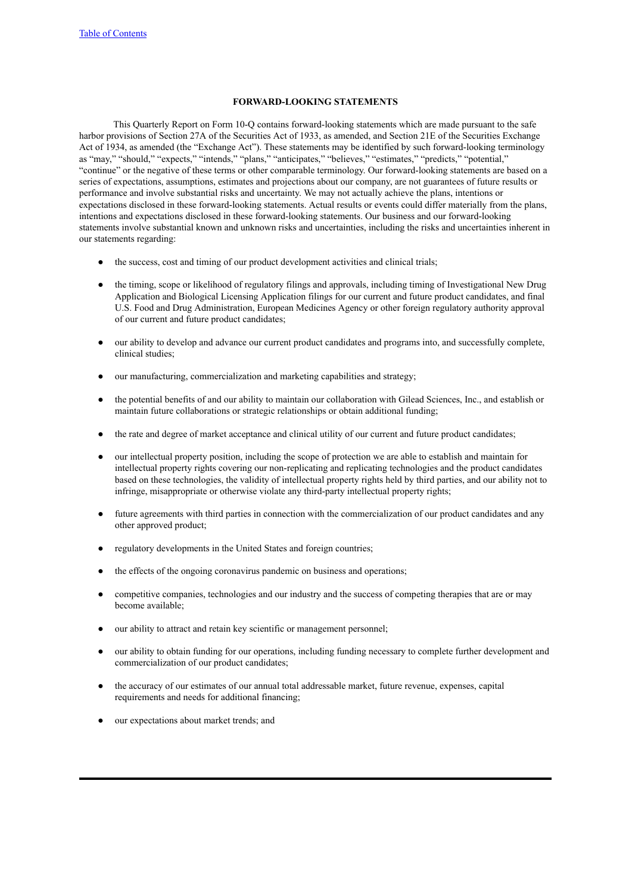# **FORWARD-LOOKING STATEMENTS**

This Quarterly Report on Form 10-Q contains forward-looking statements which are made pursuant to the safe harbor provisions of Section 27A of the Securities Act of 1933, as amended, and Section 21E of the Securities Exchange Act of 1934, as amended (the "Exchange Act"). These statements may be identified by such forward-looking terminology as "may," "should," "expects," "intends," "plans," "anticipates," "believes," "estimates," "predicts," "potential," "continue" or the negative of these terms or other comparable terminology. Our forward-looking statements are based on a series of expectations, assumptions, estimates and projections about our company, are not guarantees of future results or performance and involve substantial risks and uncertainty. We may not actually achieve the plans, intentions or expectations disclosed in these forward-looking statements. Actual results or events could differ materially from the plans, intentions and expectations disclosed in these forward-looking statements. Our business and our forward-looking statements involve substantial known and unknown risks and uncertainties, including the risks and uncertainties inherent in our statements regarding:

- the success, cost and timing of our product development activities and clinical trials;
- the timing, scope or likelihood of regulatory filings and approvals, including timing of Investigational New Drug Application and Biological Licensing Application filings for our current and future product candidates, and final U.S. Food and Drug Administration, European Medicines Agency or other foreign regulatory authority approval of our current and future product candidates;
- our ability to develop and advance our current product candidates and programs into, and successfully complete, clinical studies;
- our manufacturing, commercialization and marketing capabilities and strategy;
- the potential benefits of and our ability to maintain our collaboration with Gilead Sciences, Inc., and establish or maintain future collaborations or strategic relationships or obtain additional funding;
- the rate and degree of market acceptance and clinical utility of our current and future product candidates;
- our intellectual property position, including the scope of protection we are able to establish and maintain for intellectual property rights covering our non-replicating and replicating technologies and the product candidates based on these technologies, the validity of intellectual property rights held by third parties, and our ability not to infringe, misappropriate or otherwise violate any third-party intellectual property rights;
- future agreements with third parties in connection with the commercialization of our product candidates and any other approved product;
- regulatory developments in the United States and foreign countries;
- the effects of the ongoing coronavirus pandemic on business and operations;
- competitive companies, technologies and our industry and the success of competing therapies that are or may become available;
- our ability to attract and retain key scientific or management personnel;
- our ability to obtain funding for our operations, including funding necessary to complete further development and commercialization of our product candidates;
- the accuracy of our estimates of our annual total addressable market, future revenue, expenses, capital requirements and needs for additional financing;
- our expectations about market trends; and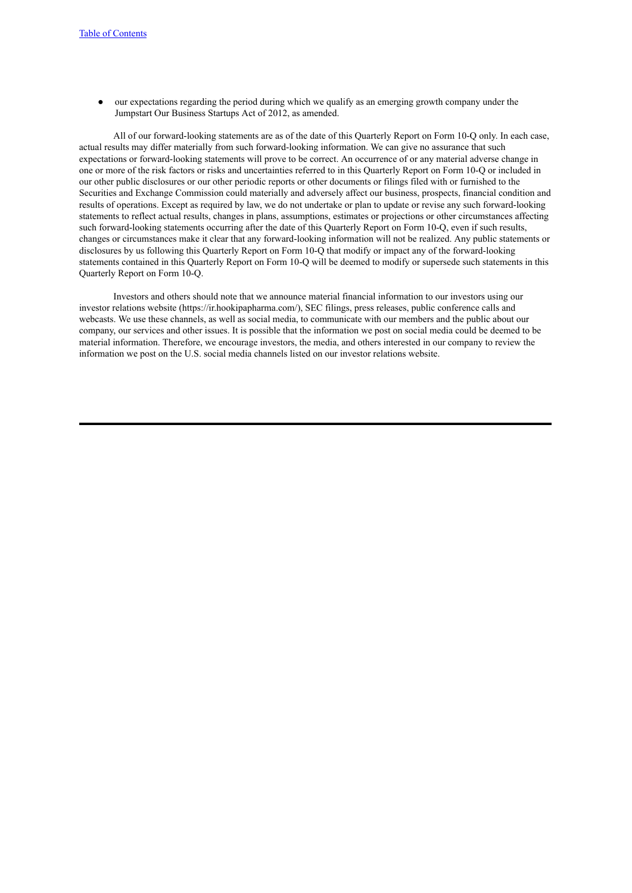● our expectations regarding the period during which we qualify as an emerging growth company under the Jumpstart Our Business Startups Act of 2012, as amended.

All of our forward-looking statements are as of the date of this Quarterly Report on Form 10-Q only. In each case, actual results may differ materially from such forward-looking information. We can give no assurance that such expectations or forward-looking statements will prove to be correct. An occurrence of or any material adverse change in one or more of the risk factors or risks and uncertainties referred to in this Quarterly Report on Form 10-Q or included in our other public disclosures or our other periodic reports or other documents or filings filed with or furnished to the Securities and Exchange Commission could materially and adversely affect our business, prospects, financial condition and results of operations. Except as required by law, we do not undertake or plan to update or revise any such forward-looking statements to reflect actual results, changes in plans, assumptions, estimates or projections or other circumstances affecting such forward-looking statements occurring after the date of this Quarterly Report on Form 10-Q, even if such results, changes or circumstances make it clear that any forward-looking information will not be realized. Any public statements or disclosures by us following this Quarterly Report on Form 10-Q that modify or impact any of the forward-looking statements contained in this Quarterly Report on Form 10-Q will be deemed to modify or supersede such statements in this Quarterly Report on Form 10-Q.

Investors and others should note that we announce material financial information to our investors using our investor relations website (https://ir.hookipapharma.com/), SEC filings, press releases, public conference calls and webcasts. We use these channels, as well as social media, to communicate with our members and the public about our company, our services and other issues. It is possible that the information we post on social media could be deemed to be material information. Therefore, we encourage investors, the media, and others interested in our company to review the information we post on the U.S. social media channels listed on our investor relations website.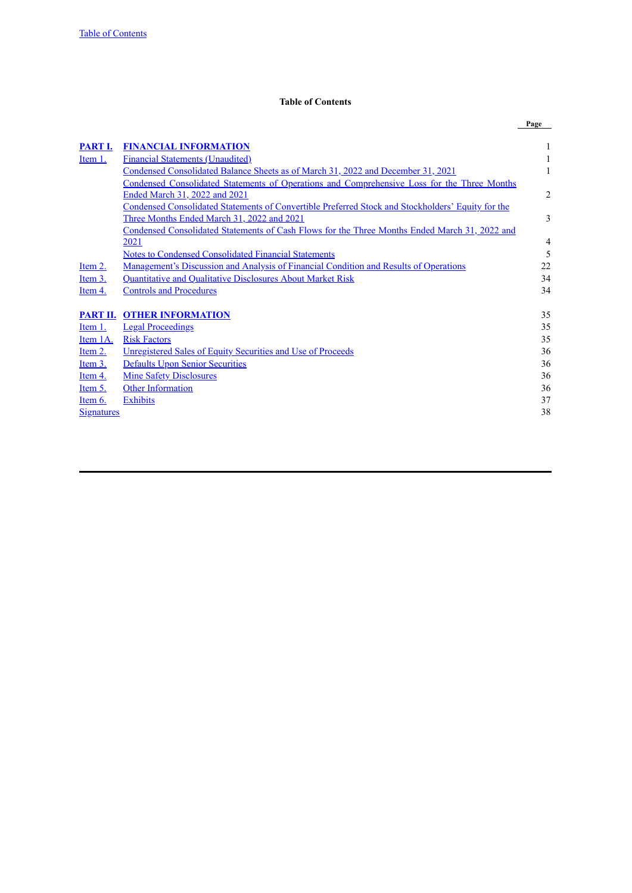# **Table of Contents**

<span id="page-3-0"></span>

| <b>FINANCIAL INFORMATION</b><br>PART I.<br><b>Financial Statements (Unaudited)</b><br>Item 1.<br>Condensed Consolidated Balance Sheets as of March 31, 2022 and December 31, 2021<br>Condensed Consolidated Statements of Operations and Comprehensive Loss for the Three Months<br>Ended March 31, 2022 and 2021<br>Condensed Consolidated Statements of Convertible Preferred Stock and Stockholders' Equity for the<br>Three Months Ended March 31, 2022 and 2021 |                                                                                                      | Page           |
|----------------------------------------------------------------------------------------------------------------------------------------------------------------------------------------------------------------------------------------------------------------------------------------------------------------------------------------------------------------------------------------------------------------------------------------------------------------------|------------------------------------------------------------------------------------------------------|----------------|
|                                                                                                                                                                                                                                                                                                                                                                                                                                                                      |                                                                                                      |                |
|                                                                                                                                                                                                                                                                                                                                                                                                                                                                      |                                                                                                      | 1              |
|                                                                                                                                                                                                                                                                                                                                                                                                                                                                      |                                                                                                      |                |
|                                                                                                                                                                                                                                                                                                                                                                                                                                                                      |                                                                                                      | 1              |
|                                                                                                                                                                                                                                                                                                                                                                                                                                                                      |                                                                                                      |                |
|                                                                                                                                                                                                                                                                                                                                                                                                                                                                      |                                                                                                      | $\overline{2}$ |
|                                                                                                                                                                                                                                                                                                                                                                                                                                                                      |                                                                                                      |                |
|                                                                                                                                                                                                                                                                                                                                                                                                                                                                      |                                                                                                      | 3              |
|                                                                                                                                                                                                                                                                                                                                                                                                                                                                      | <u>Condensed Consolidated Statements of Cash Flows for the Three Months Ended March 31, 2022 and</u> |                |
| 2021                                                                                                                                                                                                                                                                                                                                                                                                                                                                 |                                                                                                      | 4              |
| <b>Notes to Condensed Consolidated Financial Statements</b>                                                                                                                                                                                                                                                                                                                                                                                                          |                                                                                                      | 5              |
| <u>Management's Discussion and Analysis of Financial Condition and Results of Operations</u><br>Item 2.                                                                                                                                                                                                                                                                                                                                                              |                                                                                                      | 22             |
| Quantitative and Qualitative Disclosures About Market Risk<br>Item 3.                                                                                                                                                                                                                                                                                                                                                                                                |                                                                                                      | 34             |
| <b>Controls and Procedures</b><br>Item 4.                                                                                                                                                                                                                                                                                                                                                                                                                            |                                                                                                      | 34             |
|                                                                                                                                                                                                                                                                                                                                                                                                                                                                      |                                                                                                      |                |
| <b>PART II. OTHER INFORMATION</b>                                                                                                                                                                                                                                                                                                                                                                                                                                    |                                                                                                      | 35             |
| <b>Legal Proceedings</b><br>Item 1.                                                                                                                                                                                                                                                                                                                                                                                                                                  |                                                                                                      | 35             |
| <b>Risk Factors</b><br>Item 1A.                                                                                                                                                                                                                                                                                                                                                                                                                                      |                                                                                                      | 35             |
| Item 2.<br><b>Unregistered Sales of Equity Securities and Use of Proceeds</b>                                                                                                                                                                                                                                                                                                                                                                                        |                                                                                                      | 36             |
| <b>Defaults Upon Senior Securities</b><br>Item 3.                                                                                                                                                                                                                                                                                                                                                                                                                    |                                                                                                      | 36             |
| <b>Mine Safety Disclosures</b><br>Item $4.$                                                                                                                                                                                                                                                                                                                                                                                                                          |                                                                                                      | 36             |
| <b>Other Information</b><br>Item 5.                                                                                                                                                                                                                                                                                                                                                                                                                                  |                                                                                                      | 36             |
| <b>Exhibits</b><br>Item 6.                                                                                                                                                                                                                                                                                                                                                                                                                                           |                                                                                                      | 37             |
| <b>Signatures</b>                                                                                                                                                                                                                                                                                                                                                                                                                                                    |                                                                                                      | 38             |
|                                                                                                                                                                                                                                                                                                                                                                                                                                                                      |                                                                                                      |                |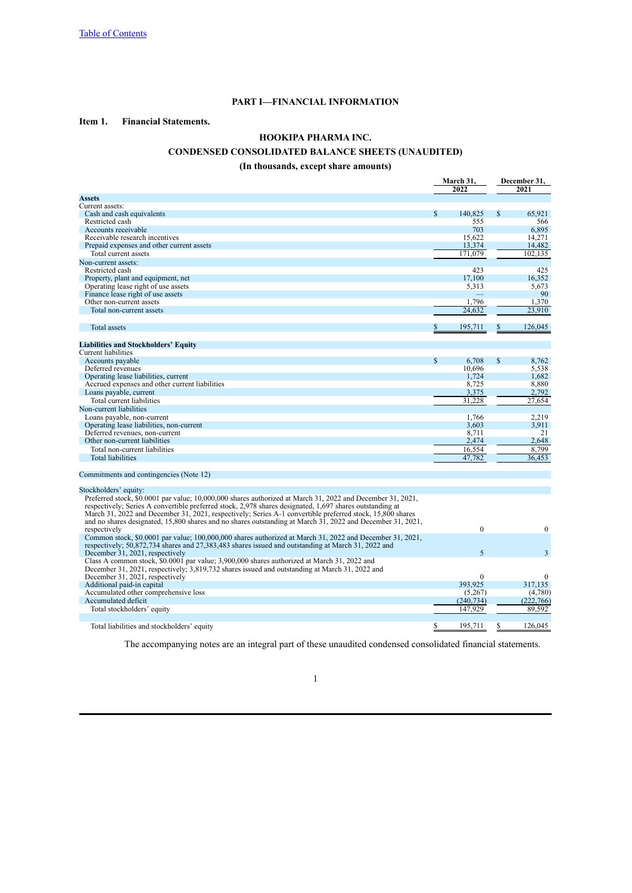# **PART I—FINANCIAL INFORMATION**

# <span id="page-4-1"></span><span id="page-4-0"></span>**Item 1. Financial Statements.**

# **HOOKIPA PHARMA INC.**

# **CONDENSED CONSOLIDATED BALANCE SHEETS (UNAUDITED)**

# **(In thousands, except share amounts)**

<span id="page-4-2"></span>

|                                                                                                            |             | March 31,<br>2022 |               |                |  | December 31,<br>2021 |
|------------------------------------------------------------------------------------------------------------|-------------|-------------------|---------------|----------------|--|----------------------|
| <b>Assets</b>                                                                                              |             |                   |               |                |  |                      |
| Current assets:                                                                                            |             |                   |               |                |  |                      |
| Cash and cash equivalents                                                                                  | \$          | 140,825           | \$            | 65,921         |  |                      |
| Restricted cash                                                                                            |             | 555               |               | 566            |  |                      |
| Accounts receivable                                                                                        |             | 703               |               | 6.895          |  |                      |
| Receivable research incentives                                                                             |             | 15,622            |               | 14,271         |  |                      |
| Prepaid expenses and other current assets                                                                  |             | 13,374            |               | 14,482         |  |                      |
| Total current assets                                                                                       |             | 171.079           |               | 102,135        |  |                      |
| Non-current assets:                                                                                        |             |                   |               |                |  |                      |
| Restricted cash                                                                                            |             | 423               |               | 425            |  |                      |
| Property, plant and equipment, net                                                                         |             | 17,100            |               | 16,352         |  |                      |
| Operating lease right of use assets                                                                        |             | 5,313             |               | 5,673          |  |                      |
| Finance lease right of use assets                                                                          |             |                   |               | 90             |  |                      |
| Other non-current assets                                                                                   |             | 1,796             |               | 1,370          |  |                      |
| Total non-current assets                                                                                   |             | 24.632            |               | 23.910         |  |                      |
|                                                                                                            |             |                   |               |                |  |                      |
| <b>Total</b> assets                                                                                        |             | 195,711           | S             | 126,045        |  |                      |
|                                                                                                            |             |                   |               |                |  |                      |
| <b>Liabilities and Stockholders' Equity</b>                                                                |             |                   |               |                |  |                      |
| Current liabilities                                                                                        |             |                   |               |                |  |                      |
| Accounts payable                                                                                           | $\mathbf S$ | 6.708             | <sup>\$</sup> | 8,762          |  |                      |
| Deferred revenues                                                                                          |             | 10,696            |               | 5,538          |  |                      |
| Operating lease liabilities, current                                                                       |             | 1,724             |               | 1,682          |  |                      |
| Accrued expenses and other current liabilities                                                             |             | 8,725             |               | 8,880          |  |                      |
| Loans payable, current                                                                                     |             | 3,375             |               | 2,792          |  |                      |
| Total current liabilities                                                                                  |             | 31,228            |               | 27,654         |  |                      |
| Non-current liabilities                                                                                    |             |                   |               |                |  |                      |
| Loans payable, non-current                                                                                 |             | 1,766             |               | 2,219          |  |                      |
| Operating lease liabilities, non-current                                                                   |             | 3,603             |               | 3,911          |  |                      |
| Deferred revenues, non-current                                                                             |             | 8,711             |               | 21             |  |                      |
| Other non-current liabilities                                                                              |             | 2,474             |               | 2.648          |  |                      |
| Total non-current liabilities                                                                              |             | 16,554            |               | 8.799          |  |                      |
| <b>Total liabilities</b>                                                                                   |             | 47.782            |               | 36.453         |  |                      |
|                                                                                                            |             |                   |               |                |  |                      |
| Commitments and contingencies (Note 12)                                                                    |             |                   |               |                |  |                      |
|                                                                                                            |             |                   |               |                |  |                      |
| Stockholders' equity:                                                                                      |             |                   |               |                |  |                      |
| Preferred stock, \$0.0001 par value; 10,000,000 shares authorized at March 31, 2022 and December 31, 2021, |             |                   |               |                |  |                      |
| respectively; Series A convertible preferred stock, 2,978 shares designated, 1,697 shares outstanding at   |             |                   |               |                |  |                      |
| March 31, 2022 and December 31, 2021, respectively; Series A-1 convertible preferred stock, 15,800 shares  |             |                   |               |                |  |                      |
| and no shares designated, 15,800 shares and no shares outstanding at March 31, 2022 and December 31, 2021, |             |                   |               |                |  |                      |
| respectively                                                                                               |             | $\theta$          |               | $\Omega$       |  |                      |
| Common stock, \$0.0001 par value; 100,000,000 shares authorized at March 31, 2022 and December 31, 2021,   |             |                   |               |                |  |                      |
| respectively; 50,872,734 shares and 27,383,483 shares issued and outstanding at March 31, 2022 and         |             |                   |               |                |  |                      |
| December 31, 2021, respectively                                                                            |             | 5                 |               | $\overline{3}$ |  |                      |
| Class A common stock, \$0.0001 par value; 3,900,000 shares authorized at March 31, 2022 and                |             |                   |               |                |  |                      |
| December 31, 2021, respectively; 3,819,732 shares issued and outstanding at March 31, 2022 and             |             |                   |               |                |  |                      |
| December 31, 2021, respectively                                                                            |             | $\mathbf{0}$      |               | $\mathbf{0}$   |  |                      |
| Additional paid-in capital                                                                                 |             | 393,925           |               | 317,135        |  |                      |
| Accumulated other comprehensive loss                                                                       |             | (5,267)           |               | (4,780)        |  |                      |
| Accumulated deficit                                                                                        |             | (240, 734)        |               | (222,766)      |  |                      |
|                                                                                                            |             | 147,929           |               | 89,592         |  |                      |
| Total stockholders' equity                                                                                 |             |                   |               |                |  |                      |
|                                                                                                            | \$          | 195,711           | \$            | 126,045        |  |                      |
| Total liabilities and stockholders' equity                                                                 |             |                   |               |                |  |                      |

The accompanying notes are an integral part of these unaudited condensed consolidated financial statements.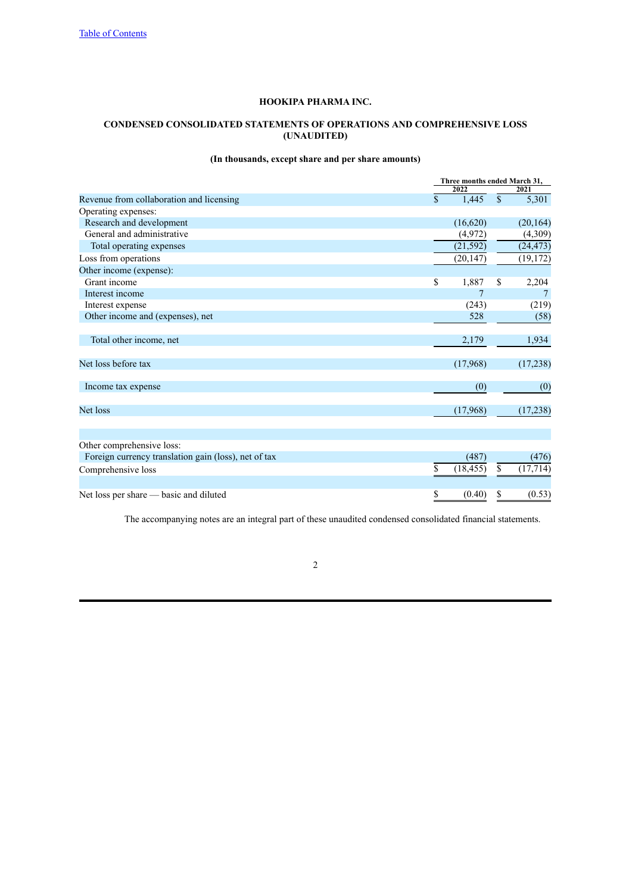# <span id="page-5-0"></span>**CONDENSED CONSOLIDATED STATEMENTS OF OPERATIONS AND COMPREHENSIVE LOSS (UNAUDITED)**

# **(In thousands, except share and per share amounts)**

|                                                      | Three months ended March 31, |              |           |  |
|------------------------------------------------------|------------------------------|--------------|-----------|--|
|                                                      | 2022                         |              | 2021      |  |
| Revenue from collaboration and licensing             | \$<br>1,445                  | $\mathbf{s}$ | 5,301     |  |
| Operating expenses:                                  |                              |              |           |  |
| Research and development                             | (16,620)                     |              | (20, 164) |  |
| General and administrative                           | (4,972)                      |              | (4,309)   |  |
| Total operating expenses                             | (21, 592)                    |              | (24, 473) |  |
| Loss from operations                                 | (20, 147)                    |              | (19, 172) |  |
| Other income (expense):                              |                              |              |           |  |
| Grant income                                         | \$<br>1,887                  | \$           | 2,204     |  |
| Interest income                                      | 7                            |              | 7         |  |
| Interest expense                                     | (243)                        |              | (219)     |  |
| Other income and (expenses), net                     | 528                          |              | (58)      |  |
|                                                      |                              |              |           |  |
| Total other income, net                              | 2,179                        |              | 1,934     |  |
| Net loss before tax                                  | (17,968)                     |              | (17,238)  |  |
| Income tax expense                                   | (0)                          |              | (0)       |  |
| Net loss                                             | (17,968)                     |              | (17,238)  |  |
|                                                      |                              |              |           |  |
| Other comprehensive loss:                            |                              |              |           |  |
| Foreign currency translation gain (loss), net of tax | (487)                        |              | (476)     |  |
| Comprehensive loss                                   | \$<br>(18, 455)              | \$           | (17, 714) |  |
| Net loss per share — basic and diluted               | \$<br>(0.40)                 | \$           | (0.53)    |  |

The accompanying notes are an integral part of these unaudited condensed consolidated financial statements.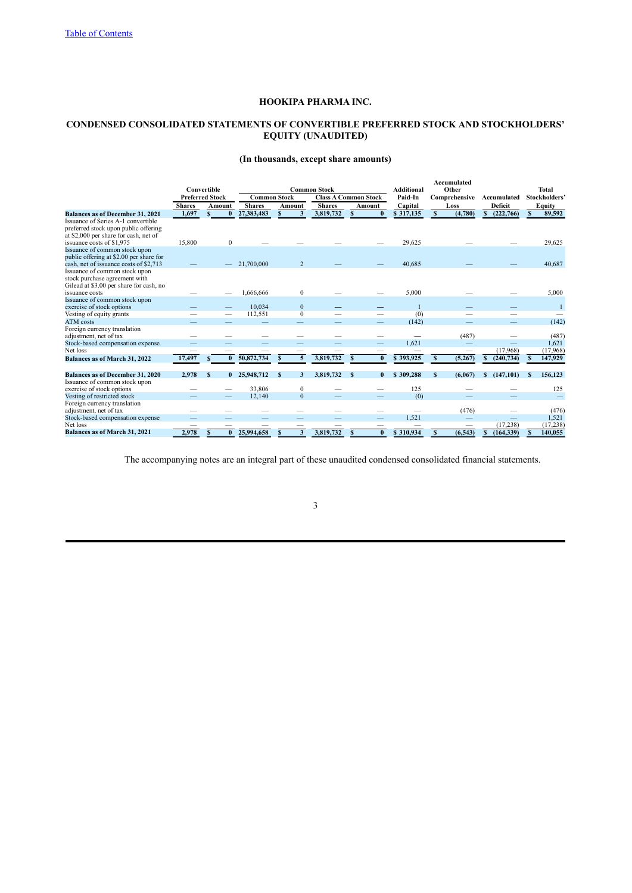# <span id="page-6-0"></span>**CONDENSED CONSOLIDATED STATEMENTS OF CONVERTIBLE PREFERRED STOCK AND STOCKHOLDERS' EQUITY (UNAUDITED)**

# **(In thousands, except share amounts)**

|                                                                                                                                                  |               | Convertible            |                     |                | <b>Common Stock</b> |                             | Additional |              | Accumulated<br>Other |                  |   | <b>Total</b>  |
|--------------------------------------------------------------------------------------------------------------------------------------------------|---------------|------------------------|---------------------|----------------|---------------------|-----------------------------|------------|--------------|----------------------|------------------|---|---------------|
|                                                                                                                                                  |               | <b>Preferred Stock</b> | <b>Common Stock</b> |                |                     | <b>Class A Common Stock</b> | Paid-In    |              | Comprehensive        | Accumulated      |   | Stockholders' |
|                                                                                                                                                  | <b>Shares</b> | Amount                 | <b>Shares</b>       | Amount         | <b>Shares</b>       | Amount                      | Capital    |              | Loss                 | Deficit          |   | Equity        |
| <b>Balances as of December 31, 2021</b>                                                                                                          | 1,697         | S.<br>$\mathbf{0}$     | 27,383,483          | 3              | 3,819,732           | $\mathbf{0}$                | \$317,135  | \$           | (4,780)              | (222,766)<br>S   | S | 89,592        |
| Issuance of Series A-1 convertible<br>preferred stock upon public offering<br>at \$2,000 per share for cash, net of<br>issuance costs of \$1,975 | 15,800        | $\mathbf{0}$           |                     |                |                     |                             | 29,625     |              |                      |                  |   | 29,625        |
| Issuance of common stock upon<br>public offering at \$2.00 per share for<br>cash, net of issuance costs of \$2,713                               |               |                        | 21.700.000          | $\overline{2}$ |                     |                             | 40,685     |              |                      |                  |   | 40,687        |
| Issuance of common stock upon<br>stock purchase agreement with<br>Gilead at \$3.00 per share for cash, no<br>issuance costs                      |               |                        | 1,666,666           | $\mathbf{0}$   |                     |                             | 5,000      |              |                      |                  |   | 5,000         |
| Issuance of common stock upon<br>exercise of stock options                                                                                       |               |                        | 10,034              | $\mathbf{0}$   |                     |                             |            |              |                      |                  |   |               |
| Vesting of equity grants                                                                                                                         |               |                        | 112,551             | $\mathbf{0}$   |                     |                             | (0)        |              |                      |                  |   |               |
| <b>ATM</b> costs                                                                                                                                 |               |                        |                     |                |                     |                             | (142)      |              |                      |                  |   | (142)         |
| Foreign currency translation<br>adjustment, net of tax                                                                                           |               |                        |                     |                |                     |                             |            |              | (487)                |                  |   | (487)         |
| Stock-based compensation expense                                                                                                                 |               |                        |                     |                |                     |                             | 1,621      |              |                      |                  |   | 1,621         |
| Net loss                                                                                                                                         |               |                        |                     |                |                     |                             |            |              | –                    | (17,968)         |   | (17,968)      |
| Balances as of March 31, 2022                                                                                                                    | 17,497        | $\bf{0}$               | 50,872,734          | 5<br>S         | 3,819,732           | $\bf{0}$                    | \$393,925  | S            | (5,267)              | (240, 734)       |   | 147,929       |
| Balances as of December 31, 2020                                                                                                                 | 2.978         | $\mathbf{s}$           | 0 25,948,712        | S<br>3         | 3.819.732           | S<br>$\mathbf{0}$           | \$309,288  | $\mathbf{s}$ | (6.067)              | (147, 101)<br>S. |   | 156,123       |
| Issuance of common stock upon                                                                                                                    |               |                        |                     |                |                     |                             |            |              |                      |                  |   |               |
| exercise of stock options                                                                                                                        |               |                        | 33,806              | $\mathbf{0}$   |                     |                             | 125        |              |                      |                  |   | 125           |
| Vesting of restricted stock                                                                                                                      |               |                        | 12,140              | $\mathbf{0}$   |                     |                             | (0)        |              |                      |                  |   |               |
| Foreign currency translation                                                                                                                     |               |                        |                     |                |                     |                             |            |              |                      |                  |   |               |
| adjustment, net of tax                                                                                                                           |               |                        |                     |                |                     |                             |            |              | (476)                |                  |   | (476)         |
| Stock-based compensation expense                                                                                                                 |               |                        |                     |                |                     |                             | 1,521      |              |                      |                  |   | 1,521         |
| Net loss                                                                                                                                         |               |                        |                     |                |                     |                             |            |              |                      | (17, 238)        |   | (17, 238)     |
| Balances as of March 31, 2021                                                                                                                    | 2,978         | $\mathbf{0}$           | 25,994,658          | 3              | 3,819,732           | $\bf{0}$                    | \$310.934  | S            | (6, 543)             | (164, 339)       |   | 140.055       |

The accompanying notes are an integral part of these unaudited condensed consolidated financial statements.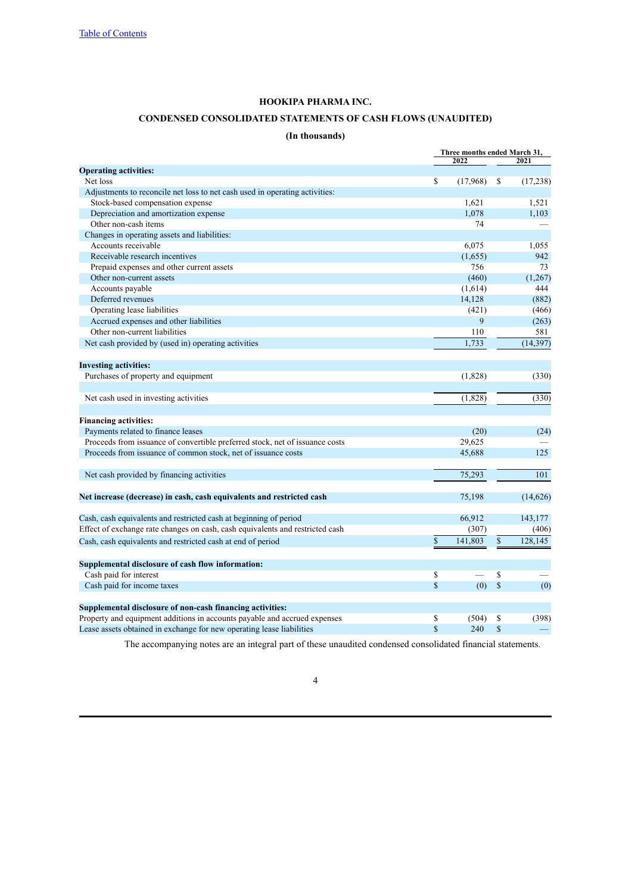# **CONDENSED CONSOLIDATED STATEMENTS OF CASH FLOWS (UNAUDITED)**

# **(In thousands)**

<span id="page-7-0"></span>

|                                                                               |                |              | Three months ended March 31, |  |  |
|-------------------------------------------------------------------------------|----------------|--------------|------------------------------|--|--|
|                                                                               | 2022           |              | 2021                         |  |  |
| <b>Operating activities:</b><br>Net loss                                      | \$<br>(17,968) | \$           | (17, 238)                    |  |  |
| Adjustments to reconcile net loss to net cash used in operating activities:   |                |              |                              |  |  |
| Stock-based compensation expense                                              | 1,621          |              | 1,521                        |  |  |
| Depreciation and amortization expense                                         | 1,078          |              | 1,103                        |  |  |
| Other non-cash items                                                          | 74             |              |                              |  |  |
|                                                                               |                |              |                              |  |  |
| Changes in operating assets and liabilities:<br>Accounts receivable           | 6,075          |              |                              |  |  |
|                                                                               |                |              | 1,055                        |  |  |
| Receivable research incentives                                                | (1,655)<br>756 |              | 942                          |  |  |
| Prepaid expenses and other current assets                                     |                |              | 73                           |  |  |
| Other non-current assets                                                      | (460)          |              | (1, 267)                     |  |  |
| Accounts payable                                                              | (1,614)        |              | 444                          |  |  |
| Deferred revenues                                                             | 14,128         |              | (882)                        |  |  |
| Operating lease liabilities                                                   | (421)          |              | (466)                        |  |  |
| Accrued expenses and other liabilities                                        | 9              |              | (263)                        |  |  |
| Other non-current liabilities                                                 | 110            |              | 581                          |  |  |
| Net cash provided by (used in) operating activities                           | 1.733          |              | (14, 397)                    |  |  |
| <b>Investing activities:</b>                                                  |                |              |                              |  |  |
| Purchases of property and equipment                                           | (1,828)        |              | (330)                        |  |  |
| Net cash used in investing activities                                         | (1,828)        |              | (330)                        |  |  |
| <b>Financing activities:</b>                                                  |                |              |                              |  |  |
| Payments related to finance leases                                            | (20)           |              | (24)                         |  |  |
| Proceeds from issuance of convertible preferred stock, net of issuance costs  | 29,625         |              |                              |  |  |
| Proceeds from issuance of common stock, net of issuance costs                 | 45,688         |              | 125                          |  |  |
|                                                                               |                |              |                              |  |  |
| Net cash provided by financing activities                                     | 75,293         |              | 101                          |  |  |
| Net increase (decrease) in cash, cash equivalents and restricted cash         | 75,198         |              | (14, 626)                    |  |  |
| Cash, cash equivalents and restricted cash at beginning of period             | 66,912         |              | 143,177                      |  |  |
| Effect of exchange rate changes on cash, cash equivalents and restricted cash | (307)          |              | (406)                        |  |  |
| Cash, cash equivalents and restricted cash at end of period                   | \$<br>141,803  | $\mathbb{S}$ | 128,145                      |  |  |
| Supplemental disclosure of cash flow information:                             |                |              |                              |  |  |
| Cash paid for interest                                                        | \$             | \$           |                              |  |  |
| Cash paid for income taxes                                                    | \$<br>(0)      | $\mathbb{S}$ | (0)                          |  |  |
| Supplemental disclosure of non-cash financing activities:                     |                |              |                              |  |  |
| Property and equipment additions in accounts payable and accrued expenses     | \$<br>(504)    | \$           | (398)                        |  |  |
| Lease assets obtained in exchange for new operating lease liabilities         | \$<br>240      | \$           |                              |  |  |
|                                                                               |                |              |                              |  |  |

The accompanying notes are an integral part of these unaudited condensed consolidated financial statements.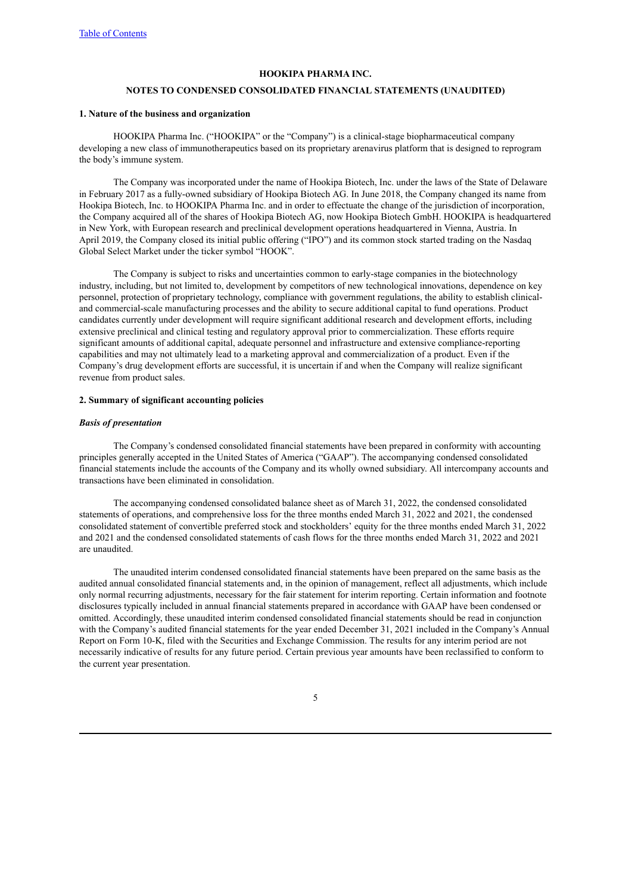# **NOTES TO CONDENSED CONSOLIDATED FINANCIAL STATEMENTS (UNAUDITED)**

# <span id="page-8-0"></span>**1. Nature of the business and organization**

HOOKIPA Pharma Inc. ("HOOKIPA" or the "Company") is a clinical-stage biopharmaceutical company developing a new class of immunotherapeutics based on its proprietary arenavirus platform that is designed to reprogram the body's immune system.

The Company was incorporated under the name of Hookipa Biotech, Inc. under the laws of the State of Delaware in February 2017 as a fully-owned subsidiary of Hookipa Biotech AG. In June 2018, the Company changed its name from Hookipa Biotech, Inc. to HOOKIPA Pharma Inc. and in order to effectuate the change of the jurisdiction of incorporation, the Company acquired all of the shares of Hookipa Biotech AG, now Hookipa Biotech GmbH. HOOKIPA is headquartered in New York, with European research and preclinical development operations headquartered in Vienna, Austria. In April 2019, the Company closed its initial public offering ("IPO") and its common stock started trading on the Nasdaq Global Select Market under the ticker symbol "HOOK".

The Company is subject to risks and uncertainties common to early-stage companies in the biotechnology industry, including, but not limited to, development by competitors of new technological innovations, dependence on key personnel, protection of proprietary technology, compliance with government regulations, the ability to establish clinicaland commercial-scale manufacturing processes and the ability to secure additional capital to fund operations. Product candidates currently under development will require significant additional research and development efforts, including extensive preclinical and clinical testing and regulatory approval prior to commercialization. These efforts require significant amounts of additional capital, adequate personnel and infrastructure and extensive compliance-reporting capabilities and may not ultimately lead to a marketing approval and commercialization of a product. Even if the Company's drug development efforts are successful, it is uncertain if and when the Company will realize significant revenue from product sales.

### **2. Summary of significant accounting policies**

#### *Basis of presentation*

The Company's condensed consolidated financial statements have been prepared in conformity with accounting principles generally accepted in the United States of America ("GAAP"). The accompanying condensed consolidated financial statements include the accounts of the Company and its wholly owned subsidiary. All intercompany accounts and transactions have been eliminated in consolidation.

The accompanying condensed consolidated balance sheet as of March 31, 2022, the condensed consolidated statements of operations, and comprehensive loss for the three months ended March 31, 2022 and 2021, the condensed consolidated statement of convertible preferred stock and stockholders' equity for the three months ended March 31, 2022 and 2021 and the condensed consolidated statements of cash flows for the three months ended March 31, 2022 and 2021 are unaudited.

The unaudited interim condensed consolidated financial statements have been prepared on the same basis as the audited annual consolidated financial statements and, in the opinion of management, reflect all adjustments, which include only normal recurring adjustments, necessary for the fair statement for interim reporting. Certain information and footnote disclosures typically included in annual financial statements prepared in accordance with GAAP have been condensed or omitted. Accordingly, these unaudited interim condensed consolidated financial statements should be read in conjunction with the Company's audited financial statements for the year ended December 31, 2021 included in the Company's Annual Report on Form 10-K, filed with the Securities and Exchange Commission. The results for any interim period are not necessarily indicative of results for any future period. Certain previous year amounts have been reclassified to conform to the current year presentation.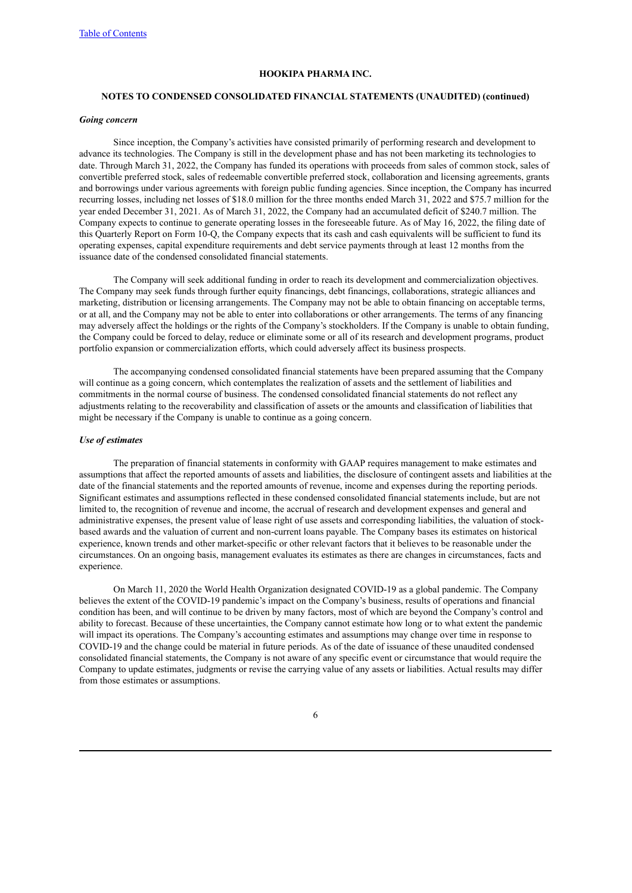#### **NOTES TO CONDENSED CONSOLIDATED FINANCIAL STATEMENTS (UNAUDITED) (continued)**

#### *Going concern*

Since inception, the Company's activities have consisted primarily of performing research and development to advance its technologies. The Company is still in the development phase and has not been marketing its technologies to date. Through March 31, 2022, the Company has funded its operations with proceeds from sales of common stock, sales of convertible preferred stock, sales of redeemable convertible preferred stock, collaboration and licensing agreements, grants and borrowings under various agreements with foreign public funding agencies. Since inception, the Company has incurred recurring losses, including net losses of \$18.0 million for the three months ended March 31, 2022 and \$75.7 million for the year ended December 31, 2021. As of March 31, 2022, the Company had an accumulated deficit of \$240.7 million. The Company expects to continue to generate operating losses in the foreseeable future. As of May 16, 2022, the filing date of this Quarterly Report on Form 10-Q, the Company expects that its cash and cash equivalents will be sufficient to fund its operating expenses, capital expenditure requirements and debt service payments through at least 12 months from the issuance date of the condensed consolidated financial statements.

The Company will seek additional funding in order to reach its development and commercialization objectives. The Company may seek funds through further equity financings, debt financings, collaborations, strategic alliances and marketing, distribution or licensing arrangements. The Company may not be able to obtain financing on acceptable terms, or at all, and the Company may not be able to enter into collaborations or other arrangements. The terms of any financing may adversely affect the holdings or the rights of the Company's stockholders. If the Company is unable to obtain funding, the Company could be forced to delay, reduce or eliminate some or all of its research and development programs, product portfolio expansion or commercialization efforts, which could adversely affect its business prospects.

The accompanying condensed consolidated financial statements have been prepared assuming that the Company will continue as a going concern, which contemplates the realization of assets and the settlement of liabilities and commitments in the normal course of business. The condensed consolidated financial statements do not reflect any adjustments relating to the recoverability and classification of assets or the amounts and classification of liabilities that might be necessary if the Company is unable to continue as a going concern.

### *Use of estimates*

The preparation of financial statements in conformity with GAAP requires management to make estimates and assumptions that affect the reported amounts of assets and liabilities, the disclosure of contingent assets and liabilities at the date of the financial statements and the reported amounts of revenue, income and expenses during the reporting periods. Significant estimates and assumptions reflected in these condensed consolidated financial statements include, but are not limited to, the recognition of revenue and income, the accrual of research and development expenses and general and administrative expenses, the present value of lease right of use assets and corresponding liabilities, the valuation of stockbased awards and the valuation of current and non-current loans payable. The Company bases its estimates on historical experience, known trends and other market-specific or other relevant factors that it believes to be reasonable under the circumstances. On an ongoing basis, management evaluates its estimates as there are changes in circumstances, facts and experience.

On March 11, 2020 the World Health Organization designated COVID-19 as a global pandemic. The Company believes the extent of the COVID-19 pandemic's impact on the Company's business, results of operations and financial condition has been, and will continue to be driven by many factors, most of which are beyond the Company's control and ability to forecast. Because of these uncertainties, the Company cannot estimate how long or to what extent the pandemic will impact its operations. The Company's accounting estimates and assumptions may change over time in response to COVID-19 and the change could be material in future periods. As of the date of issuance of these unaudited condensed consolidated financial statements, the Company is not aware of any specific event or circumstance that would require the Company to update estimates, judgments or revise the carrying value of any assets or liabilities. Actual results may differ from those estimates or assumptions.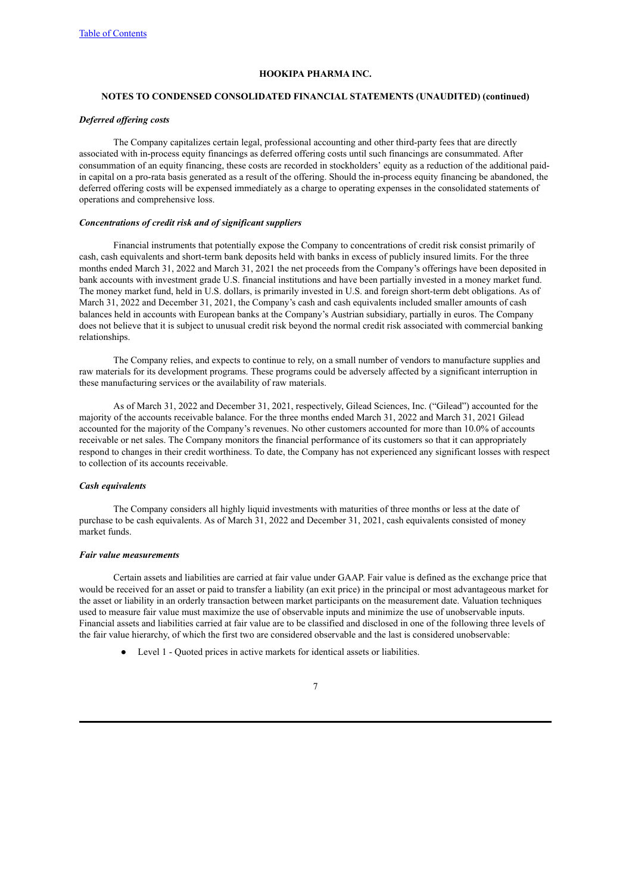#### **NOTES TO CONDENSED CONSOLIDATED FINANCIAL STATEMENTS (UNAUDITED) (continued)**

#### *Deferred of ering costs*

The Company capitalizes certain legal, professional accounting and other third-party fees that are directly associated with in-process equity financings as deferred offering costs until such financings are consummated. After consummation of an equity financing, these costs are recorded in stockholders' equity as a reduction of the additional paidin capital on a pro-rata basis generated as a result of the offering. Should the in-process equity financing be abandoned, the deferred offering costs will be expensed immediately as a charge to operating expenses in the consolidated statements of operations and comprehensive loss.

#### *Concentrations of credit risk and of significant suppliers*

Financial instruments that potentially expose the Company to concentrations of credit risk consist primarily of cash, cash equivalents and short-term bank deposits held with banks in excess of publicly insured limits. For the three months ended March 31, 2022 and March 31, 2021 the net proceeds from the Company's offerings have been deposited in bank accounts with investment grade U.S. financial institutions and have been partially invested in a money market fund. The money market fund, held in U.S. dollars, is primarily invested in U.S. and foreign short-term debt obligations. As of March 31, 2022 and December 31, 2021, the Company's cash and cash equivalents included smaller amounts of cash balances held in accounts with European banks at the Company's Austrian subsidiary, partially in euros. The Company does not believe that it is subject to unusual credit risk beyond the normal credit risk associated with commercial banking relationships.

The Company relies, and expects to continue to rely, on a small number of vendors to manufacture supplies and raw materials for its development programs. These programs could be adversely affected by a significant interruption in these manufacturing services or the availability of raw materials.

As of March 31, 2022 and December 31, 2021, respectively, Gilead Sciences, Inc. ("Gilead") accounted for the majority of the accounts receivable balance. For the three months ended March 31, 2022 and March 31, 2021 Gilead accounted for the majority of the Company's revenues. No other customers accounted for more than 10.0% of accounts receivable or net sales. The Company monitors the financial performance of its customers so that it can appropriately respond to changes in their credit worthiness. To date, the Company has not experienced any significant losses with respect to collection of its accounts receivable.

### *Cash equivalents*

The Company considers all highly liquid investments with maturities of three months or less at the date of purchase to be cash equivalents. As of March 31, 2022 and December 31, 2021, cash equivalents consisted of money market funds.

#### *Fair value measurements*

Certain assets and liabilities are carried at fair value under GAAP. Fair value is defined as the exchange price that would be received for an asset or paid to transfer a liability (an exit price) in the principal or most advantageous market for the asset or liability in an orderly transaction between market participants on the measurement date. Valuation techniques used to measure fair value must maximize the use of observable inputs and minimize the use of unobservable inputs. Financial assets and liabilities carried at fair value are to be classified and disclosed in one of the following three levels of the fair value hierarchy, of which the first two are considered observable and the last is considered unobservable:

● Level 1 - Quoted prices in active markets for identical assets or liabilities.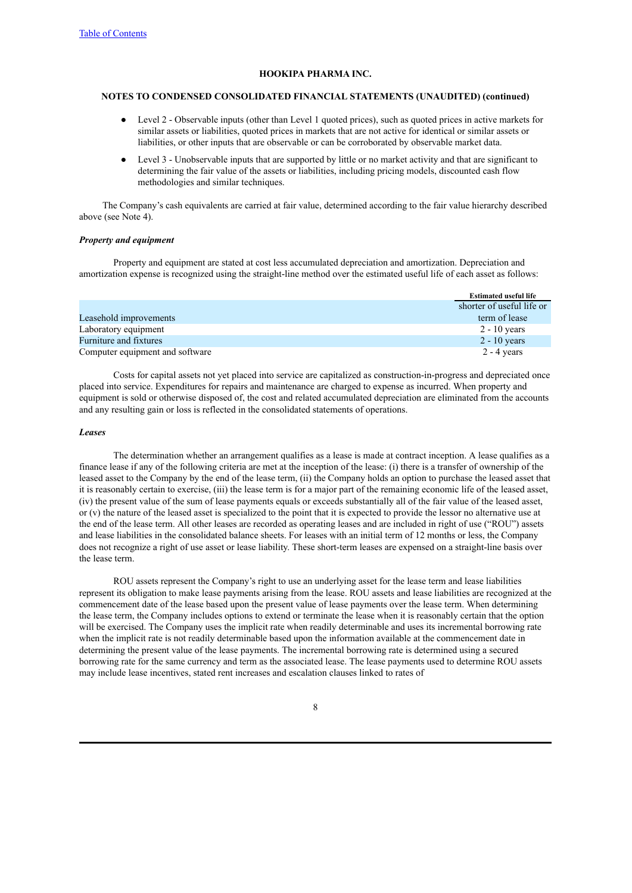#### **NOTES TO CONDENSED CONSOLIDATED FINANCIAL STATEMENTS (UNAUDITED) (continued)**

- Level 2 Observable inputs (other than Level 1 quoted prices), such as quoted prices in active markets for similar assets or liabilities, quoted prices in markets that are not active for identical or similar assets or liabilities, or other inputs that are observable or can be corroborated by observable market data.
- Level 3 Unobservable inputs that are supported by little or no market activity and that are significant to determining the fair value of the assets or liabilities, including pricing models, discounted cash flow methodologies and similar techniques.

The Company's cash equivalents are carried at fair value, determined according to the fair value hierarchy described above (see Note 4).

#### *Property and equipment*

Property and equipment are stated at cost less accumulated depreciation and amortization. Depreciation and amortization expense is recognized using the straight-line method over the estimated useful life of each asset as follows:

|                                 | <b>Estimated useful life</b> |
|---------------------------------|------------------------------|
|                                 | shorter of useful life or    |
| Leasehold improvements          | term of lease                |
| Laboratory equipment            | $2 - 10$ years               |
| Furniture and fixtures          | $2 - 10$ years               |
| Computer equipment and software | $2 - 4$ years                |

Costs for capital assets not yet placed into service are capitalized as construction-in-progress and depreciated once placed into service. Expenditures for repairs and maintenance are charged to expense as incurred. When property and equipment is sold or otherwise disposed of, the cost and related accumulated depreciation are eliminated from the accounts and any resulting gain or loss is reflected in the consolidated statements of operations.

#### *Leases*

The determination whether an arrangement qualifies as a lease is made at contract inception. A lease qualifies as a finance lease if any of the following criteria are met at the inception of the lease: (i) there is a transfer of ownership of the leased asset to the Company by the end of the lease term, (ii) the Company holds an option to purchase the leased asset that it is reasonably certain to exercise, (iii) the lease term is for a major part of the remaining economic life of the leased asset, (iv) the present value of the sum of lease payments equals or exceeds substantially all of the fair value of the leased asset, or (v) the nature of the leased asset is specialized to the point that it is expected to provide the lessor no alternative use at the end of the lease term. All other leases are recorded as operating leases and are included in right of use ("ROU") assets and lease liabilities in the consolidated balance sheets. For leases with an initial term of 12 months or less, the Company does not recognize a right of use asset or lease liability. These short-term leases are expensed on a straight-line basis over the lease term.

ROU assets represent the Company's right to use an underlying asset for the lease term and lease liabilities represent its obligation to make lease payments arising from the lease. ROU assets and lease liabilities are recognized at the commencement date of the lease based upon the present value of lease payments over the lease term. When determining the lease term, the Company includes options to extend or terminate the lease when it is reasonably certain that the option will be exercised. The Company uses the implicit rate when readily determinable and uses its incremental borrowing rate when the implicit rate is not readily determinable based upon the information available at the commencement date in determining the present value of the lease payments. The incremental borrowing rate is determined using a secured borrowing rate for the same currency and term as the associated lease. The lease payments used to determine ROU assets may include lease incentives, stated rent increases and escalation clauses linked to rates of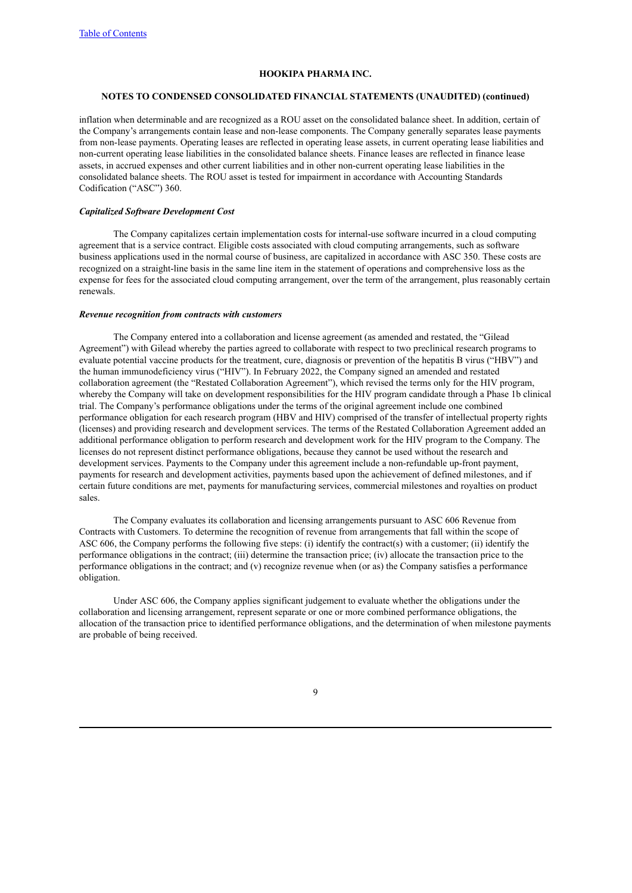#### **NOTES TO CONDENSED CONSOLIDATED FINANCIAL STATEMENTS (UNAUDITED) (continued)**

inflation when determinable and are recognized as a ROU asset on the consolidated balance sheet. In addition, certain of the Company's arrangements contain lease and non-lease components. The Company generally separates lease payments from non-lease payments. Operating leases are reflected in operating lease assets, in current operating lease liabilities and non-current operating lease liabilities in the consolidated balance sheets. Finance leases are reflected in finance lease assets, in accrued expenses and other current liabilities and in other non-current operating lease liabilities in the consolidated balance sheets. The ROU asset is tested for impairment in accordance with Accounting Standards Codification ("ASC") 360.

#### *Capitalized Software Development Cost*

The Company capitalizes certain implementation costs for internal-use software incurred in a cloud computing agreement that is a service contract. Eligible costs associated with cloud computing arrangements, such as software business applications used in the normal course of business, are capitalized in accordance with ASC 350. These costs are recognized on a straight-line basis in the same line item in the statement of operations and comprehensive loss as the expense for fees for the associated cloud computing arrangement, over the term of the arrangement, plus reasonably certain renewals.

#### *Revenue recognition from contracts with customers*

The Company entered into a collaboration and license agreement (as amended and restated, the "Gilead Agreement") with Gilead whereby the parties agreed to collaborate with respect to two preclinical research programs to evaluate potential vaccine products for the treatment, cure, diagnosis or prevention of the hepatitis B virus ("HBV") and the human immunodeficiency virus ("HIV"). In February 2022, the Company signed an amended and restated collaboration agreement (the "Restated Collaboration Agreement"), which revised the terms only for the HIV program, whereby the Company will take on development responsibilities for the HIV program candidate through a Phase 1b clinical trial. The Company's performance obligations under the terms of the original agreement include one combined performance obligation for each research program (HBV and HIV) comprised of the transfer of intellectual property rights (licenses) and providing research and development services. The terms of the Restated Collaboration Agreement added an additional performance obligation to perform research and development work for the HIV program to the Company. The licenses do not represent distinct performance obligations, because they cannot be used without the research and development services. Payments to the Company under this agreement include a non-refundable up-front payment, payments for research and development activities, payments based upon the achievement of defined milestones, and if certain future conditions are met, payments for manufacturing services, commercial milestones and royalties on product sales.

The Company evaluates its collaboration and licensing arrangements pursuant to ASC 606 Revenue from Contracts with Customers. To determine the recognition of revenue from arrangements that fall within the scope of ASC 606, the Company performs the following five steps: (i) identify the contract(s) with a customer; (ii) identify the performance obligations in the contract; (iii) determine the transaction price; (iv) allocate the transaction price to the performance obligations in the contract; and (v) recognize revenue when (or as) the Company satisfies a performance obligation.

Under ASC 606, the Company applies significant judgement to evaluate whether the obligations under the collaboration and licensing arrangement, represent separate or one or more combined performance obligations, the allocation of the transaction price to identified performance obligations, and the determination of when milestone payments are probable of being received.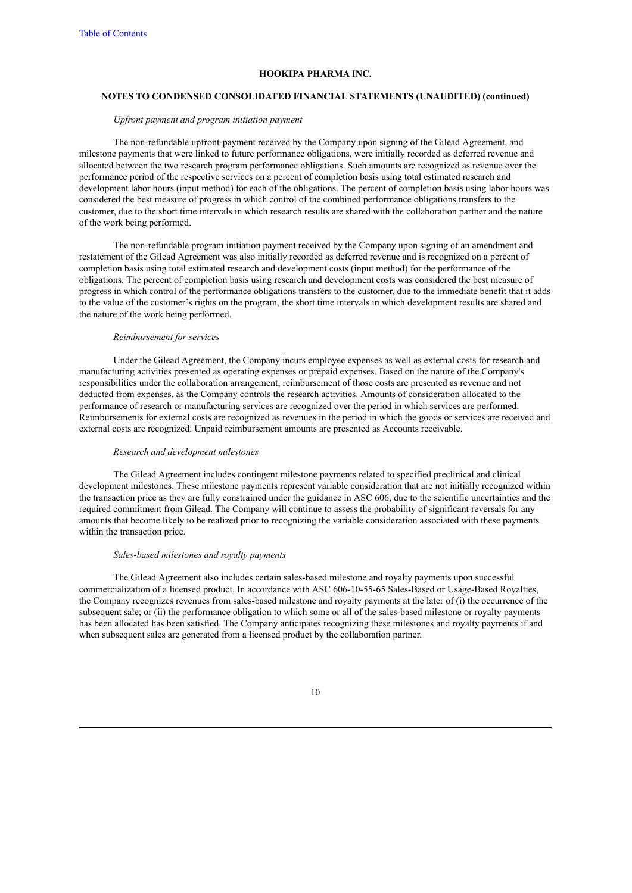#### **NOTES TO CONDENSED CONSOLIDATED FINANCIAL STATEMENTS (UNAUDITED) (continued)**

#### *Upfront payment and program initiation payment*

The non-refundable upfront-payment received by the Company upon signing of the Gilead Agreement, and milestone payments that were linked to future performance obligations, were initially recorded as deferred revenue and allocated between the two research program performance obligations. Such amounts are recognized as revenue over the performance period of the respective services on a percent of completion basis using total estimated research and development labor hours (input method) for each of the obligations. The percent of completion basis using labor hours was considered the best measure of progress in which control of the combined performance obligations transfers to the customer, due to the short time intervals in which research results are shared with the collaboration partner and the nature of the work being performed.

The non-refundable program initiation payment received by the Company upon signing of an amendment and restatement of the Gilead Agreement was also initially recorded as deferred revenue and is recognized on a percent of completion basis using total estimated research and development costs (input method) for the performance of the obligations. The percent of completion basis using research and development costs was considered the best measure of progress in which control of the performance obligations transfers to the customer, due to the immediate benefit that it adds to the value of the customer's rights on the program, the short time intervals in which development results are shared and the nature of the work being performed.

### *Reimbursement for services*

Under the Gilead Agreement, the Company incurs employee expenses as well as external costs for research and manufacturing activities presented as operating expenses or prepaid expenses. Based on the nature of the Company's responsibilities under the collaboration arrangement, reimbursement of those costs are presented as revenue and not deducted from expenses, as the Company controls the research activities. Amounts of consideration allocated to the performance of research or manufacturing services are recognized over the period in which services are performed. Reimbursements for external costs are recognized as revenues in the period in which the goods or services are received and external costs are recognized. Unpaid reimbursement amounts are presented as Accounts receivable.

#### *Research and development milestones*

The Gilead Agreement includes contingent milestone payments related to specified preclinical and clinical development milestones. These milestone payments represent variable consideration that are not initially recognized within the transaction price as they are fully constrained under the guidance in ASC 606, due to the scientific uncertainties and the required commitment from Gilead. The Company will continue to assess the probability of significant reversals for any amounts that become likely to be realized prior to recognizing the variable consideration associated with these payments within the transaction price.

### *Sales-based milestones and royalty payments*

The Gilead Agreement also includes certain sales-based milestone and royalty payments upon successful commercialization of a licensed product. In accordance with ASC 606-10-55-65 Sales-Based or Usage-Based Royalties, the Company recognizes revenues from sales-based milestone and royalty payments at the later of (i) the occurrence of the subsequent sale; or (ii) the performance obligation to which some or all of the sales-based milestone or royalty payments has been allocated has been satisfied. The Company anticipates recognizing these milestones and royalty payments if and when subsequent sales are generated from a licensed product by the collaboration partner.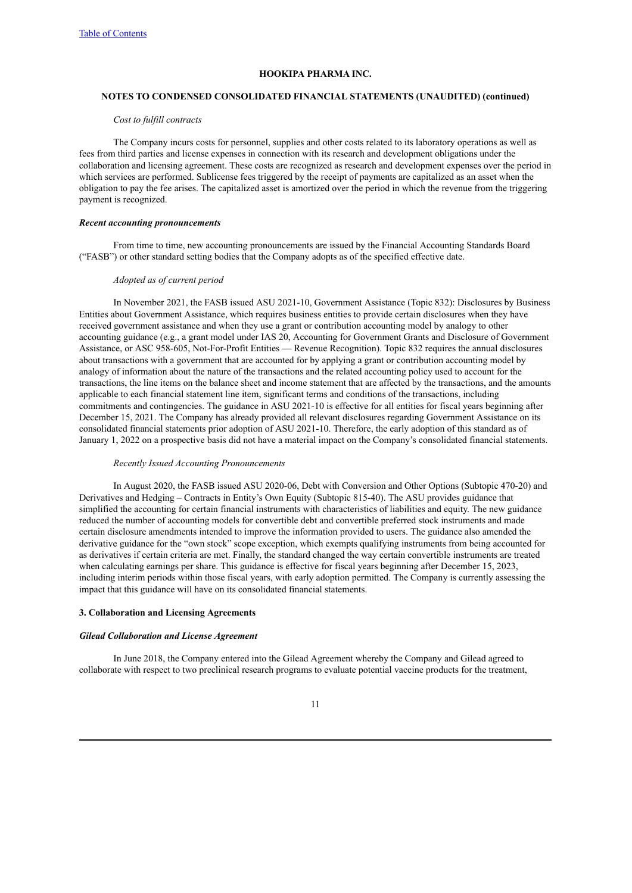#### **NOTES TO CONDENSED CONSOLIDATED FINANCIAL STATEMENTS (UNAUDITED) (continued)**

#### *Cost to fulfill contracts*

The Company incurs costs for personnel, supplies and other costs related to its laboratory operations as well as fees from third parties and license expenses in connection with its research and development obligations under the collaboration and licensing agreement. These costs are recognized as research and development expenses over the period in which services are performed. Sublicense fees triggered by the receipt of payments are capitalized as an asset when the obligation to pay the fee arises. The capitalized asset is amortized over the period in which the revenue from the triggering payment is recognized.

#### *Recent accounting pronouncements*

From time to time, new accounting pronouncements are issued by the Financial Accounting Standards Board ("FASB") or other standard setting bodies that the Company adopts as of the specified effective date.

### *Adopted as of current period*

In November 2021, the FASB issued ASU 2021-10, Government Assistance (Topic 832): Disclosures by Business Entities about Government Assistance, which requires business entities to provide certain disclosures when they have received government assistance and when they use a grant or contribution accounting model by analogy to other accounting guidance (e.g., a grant model under IAS 20, Accounting for Government Grants and Disclosure of Government Assistance, or ASC 958-605, Not-For-Profit Entities — Revenue Recognition). Topic 832 requires the annual disclosures about transactions with a government that are accounted for by applying a grant or contribution accounting model by analogy of information about the nature of the transactions and the related accounting policy used to account for the transactions, the line items on the balance sheet and income statement that are affected by the transactions, and the amounts applicable to each financial statement line item, significant terms and conditions of the transactions, including commitments and contingencies. The guidance in ASU 2021-10 is effective for all entities for fiscal years beginning after December 15, 2021. The Company has already provided all relevant disclosures regarding Government Assistance on its consolidated financial statements prior adoption of ASU 2021-10. Therefore, the early adoption of this standard as of January 1, 2022 on a prospective basis did not have a material impact on the Company's consolidated financial statements.

#### *Recently Issued Accounting Pronouncements*

In August 2020, the FASB issued ASU 2020-06, Debt with Conversion and Other Options (Subtopic 470-20) and Derivatives and Hedging – Contracts in Entity's Own Equity (Subtopic 815-40). The ASU provides guidance that simplified the accounting for certain financial instruments with characteristics of liabilities and equity. The new guidance reduced the number of accounting models for convertible debt and convertible preferred stock instruments and made certain disclosure amendments intended to improve the information provided to users. The guidance also amended the derivative guidance for the "own stock" scope exception, which exempts qualifying instruments from being accounted for as derivatives if certain criteria are met. Finally, the standard changed the way certain convertible instruments are treated when calculating earnings per share. This guidance is effective for fiscal years beginning after December 15, 2023, including interim periods within those fiscal years, with early adoption permitted. The Company is currently assessing the impact that this guidance will have on its consolidated financial statements.

#### **3. Collaboration and Licensing Agreements**

#### *Gilead Collaboration and License Agreement*

In June 2018, the Company entered into the Gilead Agreement whereby the Company and Gilead agreed to collaborate with respect to two preclinical research programs to evaluate potential vaccine products for the treatment,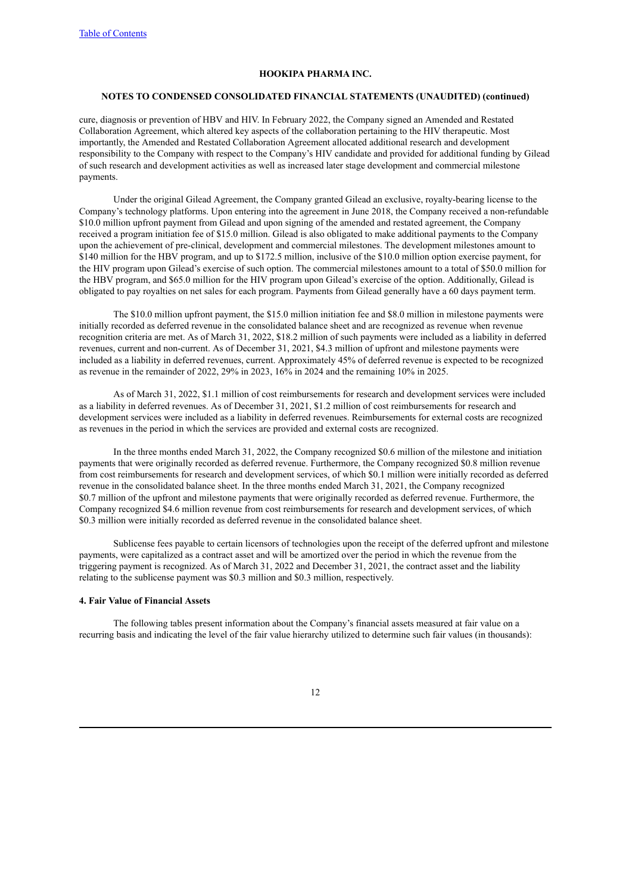#### **NOTES TO CONDENSED CONSOLIDATED FINANCIAL STATEMENTS (UNAUDITED) (continued)**

cure, diagnosis or prevention of HBV and HIV. In February 2022, the Company signed an Amended and Restated Collaboration Agreement, which altered key aspects of the collaboration pertaining to the HIV therapeutic. Most importantly, the Amended and Restated Collaboration Agreement allocated additional research and development responsibility to the Company with respect to the Company's HIV candidate and provided for additional funding by Gilead of such research and development activities as well as increased later stage development and commercial milestone payments.

Under the original Gilead Agreement, the Company granted Gilead an exclusive, royalty-bearing license to the Company's technology platforms. Upon entering into the agreement in June 2018, the Company received a non-refundable \$10.0 million upfront payment from Gilead and upon signing of the amended and restated agreement, the Company received a program initiation fee of \$15.0 million. Gilead is also obligated to make additional payments to the Company upon the achievement of pre-clinical, development and commercial milestones. The development milestones amount to \$140 million for the HBV program, and up to \$172.5 million, inclusive of the \$10.0 million option exercise payment, for the HIV program upon Gilead's exercise of such option. The commercial milestones amount to a total of \$50.0 million for the HBV program, and \$65.0 million for the HIV program upon Gilead's exercise of the option. Additionally, Gilead is obligated to pay royalties on net sales for each program. Payments from Gilead generally have a 60 days payment term.

The \$10.0 million upfront payment, the \$15.0 million initiation fee and \$8.0 million in milestone payments were initially recorded as deferred revenue in the consolidated balance sheet and are recognized as revenue when revenue recognition criteria are met. As of March 31, 2022, \$18.2 million of such payments were included as a liability in deferred revenues, current and non-current. As of December 31, 2021, \$4.3 million of upfront and milestone payments were included as a liability in deferred revenues, current. Approximately 45% of deferred revenue is expected to be recognized as revenue in the remainder of 2022, 29% in 2023, 16% in 2024 and the remaining 10% in 2025.

As of March 31, 2022, \$1.1 million of cost reimbursements for research and development services were included as a liability in deferred revenues. As of December 31, 2021, \$1.2 million of cost reimbursements for research and development services were included as a liability in deferred revenues. Reimbursements for external costs are recognized as revenues in the period in which the services are provided and external costs are recognized.

In the three months ended March 31, 2022, the Company recognized \$0.6 million of the milestone and initiation payments that were originally recorded as deferred revenue. Furthermore, the Company recognized \$0.8 million revenue from cost reimbursements for research and development services, of which \$0.1 million were initially recorded as deferred revenue in the consolidated balance sheet. In the three months ended March 31, 2021, the Company recognized \$0.7 million of the upfront and milestone payments that were originally recorded as deferred revenue. Furthermore, the Company recognized \$4.6 million revenue from cost reimbursements for research and development services, of which \$0.3 million were initially recorded as deferred revenue in the consolidated balance sheet.

Sublicense fees payable to certain licensors of technologies upon the receipt of the deferred upfront and milestone payments, were capitalized as a contract asset and will be amortized over the period in which the revenue from the triggering payment is recognized. As of March 31, 2022 and December 31, 2021, the contract asset and the liability relating to the sublicense payment was \$0.3 million and \$0.3 million, respectively.

# **4. Fair Value of Financial Assets**

The following tables present information about the Company's financial assets measured at fair value on a recurring basis and indicating the level of the fair value hierarchy utilized to determine such fair values (in thousands):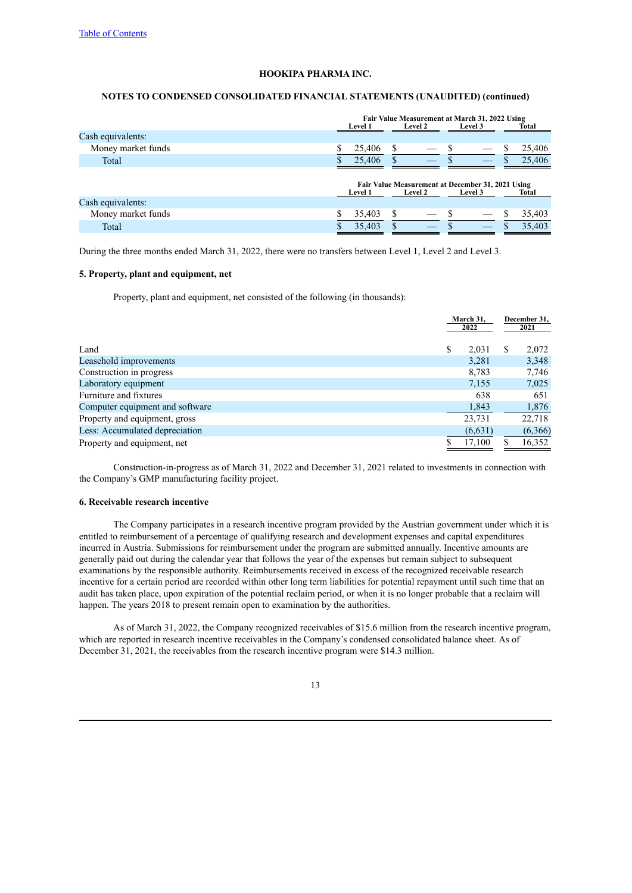# **NOTES TO CONDENSED CONSOLIDATED FINANCIAL STATEMENTS (UNAUDITED) (continued)**

|                    |                                                                                                           | Fair Value Measurement at March 31, 2022 Using<br><b>Level 2</b><br>Total<br><b>Level 1</b><br>Level 3 |   |  |  |  |  |        |
|--------------------|-----------------------------------------------------------------------------------------------------------|--------------------------------------------------------------------------------------------------------|---|--|--|--|--|--------|
| Cash equivalents:  |                                                                                                           |                                                                                                        |   |  |  |  |  |        |
| Money market funds |                                                                                                           | 25,406                                                                                                 | S |  |  |  |  | 25,406 |
| Total              |                                                                                                           | 25,406                                                                                                 |   |  |  |  |  | 25,406 |
|                    | Fair Value Measurement at December 31, 2021 Using<br><b>Level 2</b><br>Level 3<br>Total<br><b>Level 1</b> |                                                                                                        |   |  |  |  |  |        |
| Cash equivalents:  |                                                                                                           |                                                                                                        |   |  |  |  |  |        |
| Money market funds |                                                                                                           | 35,403                                                                                                 | S |  |  |  |  | 35,403 |
| Total              |                                                                                                           | 35,403                                                                                                 | S |  |  |  |  | 35,403 |

During the three months ended March 31, 2022, there were no transfers between Level 1, Level 2 and Level 3.

# **5. Property, plant and equipment, net**

Property, plant and equipment, net consisted of the following (in thousands):

|                                 | March 31.<br>2022 |   | December 31,<br>2021 |
|---------------------------------|-------------------|---|----------------------|
|                                 |                   |   |                      |
| Land                            | \$<br>2,031       | S | 2,072                |
| Leasehold improvements          | 3,281             |   | 3,348                |
| Construction in progress        | 8,783             |   | 7,746                |
| Laboratory equipment            | 7,155             |   | 7,025                |
| Furniture and fixtures          | 638               |   | 651                  |
| Computer equipment and software | 1,843             |   | 1,876                |
| Property and equipment, gross   | 23,731            |   | 22,718               |
| Less: Accumulated depreciation  | (6, 631)          |   | (6,366)              |
| Property and equipment, net     | 17,100            |   | 16,352               |

Construction-in-progress as of March 31, 2022 and December 31, 2021 related to investments in connection with the Company's GMP manufacturing facility project.

# **6. Receivable research incentive**

The Company participates in a research incentive program provided by the Austrian government under which it is entitled to reimbursement of a percentage of qualifying research and development expenses and capital expenditures incurred in Austria. Submissions for reimbursement under the program are submitted annually. Incentive amounts are generally paid out during the calendar year that follows the year of the expenses but remain subject to subsequent examinations by the responsible authority. Reimbursements received in excess of the recognized receivable research incentive for a certain period are recorded within other long term liabilities for potential repayment until such time that an audit has taken place, upon expiration of the potential reclaim period, or when it is no longer probable that a reclaim will happen. The years 2018 to present remain open to examination by the authorities.

As of March 31, 2022, the Company recognized receivables of \$15.6 million from the research incentive program, which are reported in research incentive receivables in the Company's condensed consolidated balance sheet. As of December 31, 2021, the receivables from the research incentive program were \$14.3 million.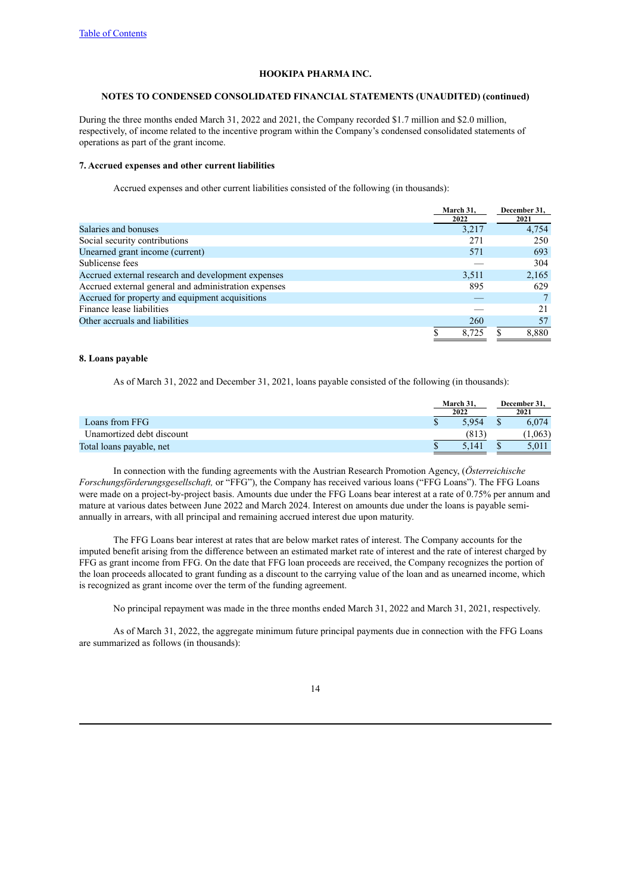#### **NOTES TO CONDENSED CONSOLIDATED FINANCIAL STATEMENTS (UNAUDITED) (continued)**

During the three months ended March 31, 2022 and 2021, the Company recorded \$1.7 million and \$2.0 million, respectively, of income related to the incentive program within the Company's condensed consolidated statements of operations as part of the grant income.

#### **7. Accrued expenses and other current liabilities**

Accrued expenses and other current liabilities consisted of the following (in thousands):

|                                                      | March 31. | December 31, |
|------------------------------------------------------|-----------|--------------|
|                                                      | 2022      | 2021         |
| Salaries and bonuses                                 | 3,217     | 4.754        |
| Social security contributions                        | 271       | 250          |
| Unearned grant income (current)                      | 571       | 693          |
| Sublicense fees                                      |           | 304          |
| Accrued external research and development expenses   | 3,511     | 2,165        |
| Accrued external general and administration expenses | 895       | 629          |
| Accrued for property and equipment acquisitions      |           |              |
| Finance lease liabilities                            |           | 21           |
| Other accruals and liabilities                       | 260       | 57           |
|                                                      | 8.725     | 8.880        |

# **8. Loans payable**

As of March 31, 2022 and December 31, 2021, loans payable consisted of the following (in thousands):

|                           |  | March 31.<br>2022 |  |        |  | December 31,<br>2021 |
|---------------------------|--|-------------------|--|--------|--|----------------------|
| Loans from FFG            |  | 5.954             |  | 6.074  |  |                      |
| Unamortized debt discount |  | (813              |  | 1.063) |  |                      |
| Total loans payable, net  |  | 5.141             |  | 5.011  |  |                      |

In connection with the funding agreements with the Austrian Research Promotion Agency, (*Österreichische Forschungsförderungsgesellschaft,* or "FFG"), the Company has received various loans ("FFG Loans"). The FFG Loans were made on a project-by-project basis. Amounts due under the FFG Loans bear interest at a rate of 0.75% per annum and mature at various dates between June 2022 and March 2024. Interest on amounts due under the loans is payable semiannually in arrears, with all principal and remaining accrued interest due upon maturity.

The FFG Loans bear interest at rates that are below market rates of interest. The Company accounts for the imputed benefit arising from the difference between an estimated market rate of interest and the rate of interest charged by FFG as grant income from FFG. On the date that FFG loan proceeds are received, the Company recognizes the portion of the loan proceeds allocated to grant funding as a discount to the carrying value of the loan and as unearned income, which is recognized as grant income over the term of the funding agreement.

No principal repayment was made in the three months ended March 31, 2022 and March 31, 2021, respectively.

As of March 31, 2022, the aggregate minimum future principal payments due in connection with the FFG Loans are summarized as follows (in thousands):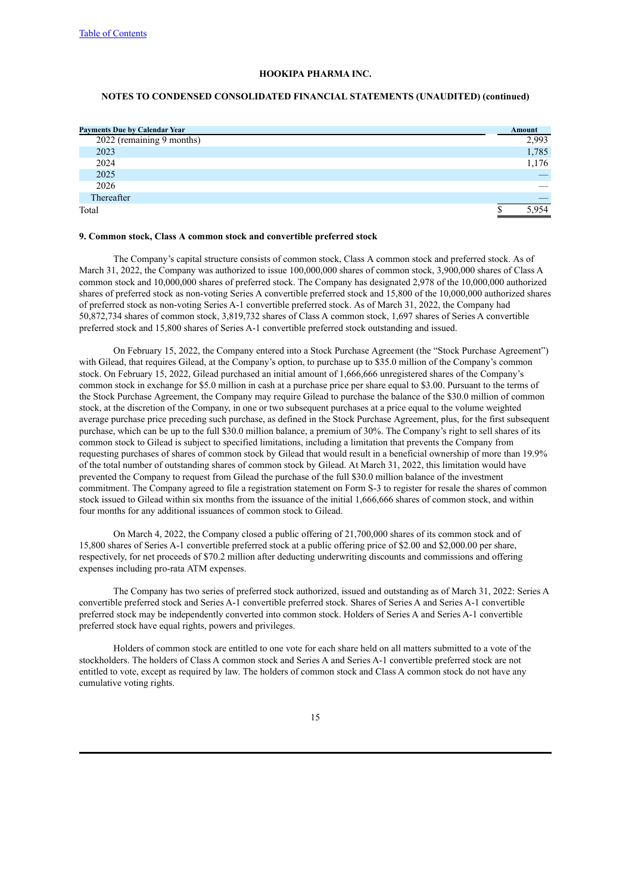### **NOTES TO CONDENSED CONSOLIDATED FINANCIAL STATEMENTS (UNAUDITED) (continued)**

| <b>Payments Due by Calendar Year</b> | Amount |
|--------------------------------------|--------|
| 2022 (remaining 9 months)            | 2,993  |
| 2023                                 | 1,785  |
| 2024                                 | 1,176  |
| 2025                                 |        |
| 2026                                 |        |
| Thereafter                           |        |
| Total                                | 5,954  |
|                                      |        |

#### **9. Common stock, Class A common stock and convertible preferred stock**

The Company's capital structure consists of common stock, Class A common stock and preferred stock. As of March 31, 2022, the Company was authorized to issue 100,000,000 shares of common stock, 3,900,000 shares of Class A common stock and 10,000,000 shares of preferred stock. The Company has designated 2,978 of the 10,000,000 authorized shares of preferred stock as non-voting Series A convertible preferred stock and 15,800 of the 10,000,000 authorized shares of preferred stock as non-voting Series A-1 convertible preferred stock. As of March 31, 2022, the Company had 50,872,734 shares of common stock, 3,819,732 shares of Class A common stock, 1,697 shares of Series A convertible preferred stock and 15,800 shares of Series A-1 convertible preferred stock outstanding and issued.

On February 15, 2022, the Company entered into a Stock Purchase Agreement (the "Stock Purchase Agreement") with Gilead, that requires Gilead, at the Company's option, to purchase up to \$35.0 million of the Company's common stock. On February 15, 2022, Gilead purchased an initial amount of 1,666,666 unregistered shares of the Company's common stock in exchange for \$5.0 million in cash at a purchase price per share equal to \$3.00. Pursuant to the terms of the Stock Purchase Agreement, the Company may require Gilead to purchase the balance of the \$30.0 million of common stock, at the discretion of the Company, in one or two subsequent purchases at a price equal to the volume weighted average purchase price preceding such purchase, as defined in the Stock Purchase Agreement, plus, for the first subsequent purchase, which can be up to the full \$30.0 million balance, a premium of 30%. The Company's right to sell shares of its common stock to Gilead is subject to specified limitations, including a limitation that prevents the Company from requesting purchases of shares of common stock by Gilead that would result in a beneficial ownership of more than 19.9% of the total number of outstanding shares of common stock by Gilead. At March 31, 2022, this limitation would have prevented the Company to request from Gilead the purchase of the full \$30.0 million balance of the investment commitment. The Company agreed to file a registration statement on Form S-3 to register for resale the shares of common stock issued to Gilead within six months from the issuance of the initial 1,666,666 shares of common stock, and within four months for any additional issuances of common stock to Gilead.

On March 4, 2022, the Company closed a public offering of 21,700,000 shares of its common stock and of 15,800 shares of Series A-1 convertible preferred stock at a public offering price of \$2.00 and \$2,000.00 per share, respectively, for net proceeds of \$70.2 million after deducting underwriting discounts and commissions and offering expenses including pro-rata ATM expenses.

The Company has two series of preferred stock authorized, issued and outstanding as of March 31, 2022: Series A convertible preferred stock and Series A-1 convertible preferred stock. Shares of Series A and Series A-1 convertible preferred stock may be independently converted into common stock. Holders of Series A and Series A-1 convertible preferred stock have equal rights, powers and privileges.

Holders of common stock are entitled to one vote for each share held on all matters submitted to a vote of the stockholders. The holders of Class A common stock and Series A and Series A-1 convertible preferred stock are not entitled to vote, except as required by law. The holders of common stock and Class A common stock do not have any cumulative voting rights.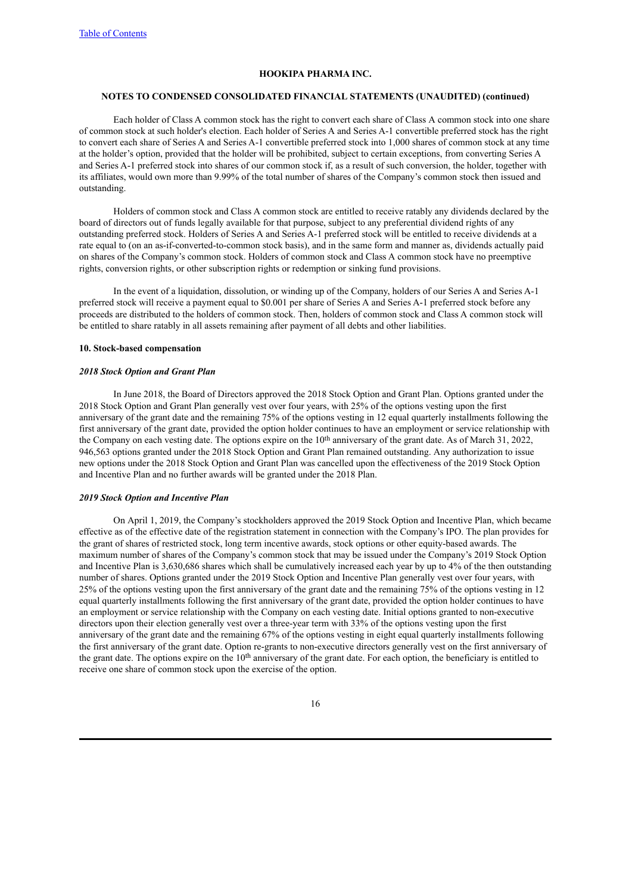#### **NOTES TO CONDENSED CONSOLIDATED FINANCIAL STATEMENTS (UNAUDITED) (continued)**

Each holder of Class A common stock has the right to convert each share of Class A common stock into one share of common stock at such holder's election. Each holder of Series A and Series A-1 convertible preferred stock has the right to convert each share of Series A and Series A-1 convertible preferred stock into 1,000 shares of common stock at any time at the holder's option, provided that the holder will be prohibited, subject to certain exceptions, from converting Series A and Series A-1 preferred stock into shares of our common stock if, as a result of such conversion, the holder, together with its affiliates, would own more than 9.99% of the total number of shares of the Company's common stock then issued and outstanding.

Holders of common stock and Class A common stock are entitled to receive ratably any dividends declared by the board of directors out of funds legally available for that purpose, subject to any preferential dividend rights of any outstanding preferred stock. Holders of Series A and Series A-1 preferred stock will be entitled to receive dividends at a rate equal to (on an as-if-converted-to-common stock basis), and in the same form and manner as, dividends actually paid on shares of the Company's common stock. Holders of common stock and Class A common stock have no preemptive rights, conversion rights, or other subscription rights or redemption or sinking fund provisions.

In the event of a liquidation, dissolution, or winding up of the Company, holders of our Series A and Series A-1 preferred stock will receive a payment equal to \$0.001 per share of Series A and Series A-1 preferred stock before any proceeds are distributed to the holders of common stock. Then, holders of common stock and Class A common stock will be entitled to share ratably in all assets remaining after payment of all debts and other liabilities.

#### **10. Stock-based compensation**

#### *2018 Stock Option and Grant Plan*

In June 2018, the Board of Directors approved the 2018 Stock Option and Grant Plan. Options granted under the 2018 Stock Option and Grant Plan generally vest over four years, with 25% of the options vesting upon the first anniversary of the grant date and the remaining 75% of the options vesting in 12 equal quarterly installments following the first anniversary of the grant date, provided the option holder continues to have an employment or service relationship with the Company on each vesting date. The options expire on the 10<sup>th</sup> anniversary of the grant date. As of March 31, 2022, 946,563 options granted under the 2018 Stock Option and Grant Plan remained outstanding. Any authorization to issue new options under the 2018 Stock Option and Grant Plan was cancelled upon the effectiveness of the 2019 Stock Option and Incentive Plan and no further awards will be granted under the 2018 Plan.

#### *2019 Stock Option and Incentive Plan*

On April 1, 2019, the Company's stockholders approved the 2019 Stock Option and Incentive Plan, which became effective as of the effective date of the registration statement in connection with the Company's IPO. The plan provides for the grant of shares of restricted stock, long term incentive awards, stock options or other equity-based awards. The maximum number of shares of the Company's common stock that may be issued under the Company's 2019 Stock Option and Incentive Plan is 3,630,686 shares which shall be cumulatively increased each year by up to 4% of the then outstanding number of shares. Options granted under the 2019 Stock Option and Incentive Plan generally vest over four years, with 25% of the options vesting upon the first anniversary of the grant date and the remaining 75% of the options vesting in 12 equal quarterly installments following the first anniversary of the grant date, provided the option holder continues to have an employment or service relationship with the Company on each vesting date. Initial options granted to non-executive directors upon their election generally vest over a three-year term with 33% of the options vesting upon the first anniversary of the grant date and the remaining 67% of the options vesting in eight equal quarterly installments following the first anniversary of the grant date. Option re-grants to non-executive directors generally vest on the first anniversary of the grant date. The options expire on the 10<sup>th</sup> anniversary of the grant date. For each option, the beneficiary is entitled to receive one share of common stock upon the exercise of the option.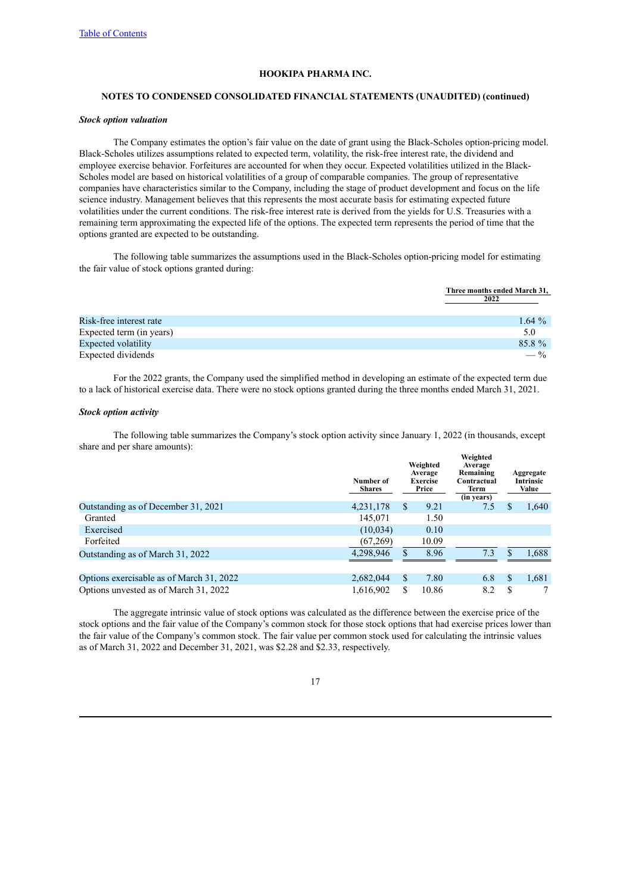### **NOTES TO CONDENSED CONSOLIDATED FINANCIAL STATEMENTS (UNAUDITED) (continued)**

#### *Stock option valuation*

The Company estimates the option's fair value on the date of grant using the Black-Scholes option-pricing model. Black-Scholes utilizes assumptions related to expected term, volatility, the risk-free interest rate, the dividend and employee exercise behavior. Forfeitures are accounted for when they occur. Expected volatilities utilized in the Black-Scholes model are based on historical volatilities of a group of comparable companies. The group of representative companies have characteristics similar to the Company, including the stage of product development and focus on the life science industry. Management believes that this represents the most accurate basis for estimating expected future volatilities under the current conditions. The risk-free interest rate is derived from the yields for U.S. Treasuries with a remaining term approximating the expected life of the options. The expected term represents the period of time that the options granted are expected to be outstanding.

The following table summarizes the assumptions used in the Black-Scholes option-pricing model for estimating the fair value of stock options granted during:

|                          | Three months ended March 31. |
|--------------------------|------------------------------|
|                          | 2022                         |
|                          |                              |
| Risk-free interest rate  | 1.64 $%$                     |
| Expected term (in years) | 5.0                          |
| Expected volatility      | 85.8%                        |
| Expected dividends       | $-$ %                        |

**Three months ended March 31,**

For the 2022 grants, the Company used the simplified method in developing an estimate of the expected term due to a lack of historical exercise data. There were no stock options granted during the three months ended March 31, 2021.

### *Stock option activity*

The following table summarizes the Company's stock option activity since January 1, 2022 (in thousands, except share and per share amounts): **Weighted**

|                                          | Number of<br><b>Shares</b> |    | Weighted<br>Average<br><b>Exercise</b><br>Price | weighted<br>Average<br>Remaining<br>Contractual<br>Term<br>(in years) |    | Aggregate<br><b>Intrinsic</b><br>Value |
|------------------------------------------|----------------------------|----|-------------------------------------------------|-----------------------------------------------------------------------|----|----------------------------------------|
| Outstanding as of December 31, 2021      | 4,231,178                  | S  | 9.21                                            | 7.5                                                                   | S  | 1,640                                  |
| Granted                                  | 145,071                    |    | 1.50                                            |                                                                       |    |                                        |
| Exercised                                | (10,034)                   |    | 0.10                                            |                                                                       |    |                                        |
| Forfeited                                | (67,269)                   |    | 10.09                                           |                                                                       |    |                                        |
| Outstanding as of March 31, 2022         | 4.298.946                  |    | 8.96                                            | 7.3                                                                   |    | 1,688                                  |
|                                          |                            |    |                                                 |                                                                       |    |                                        |
| Options exercisable as of March 31, 2022 | 2,682,044                  | \$ | 7.80                                            | 6.8                                                                   | \$ | 1,681                                  |
| Options unvested as of March 31, 2022    | 1,616,902                  | \$ | 10.86                                           | 8.2                                                                   | S  |                                        |

The aggregate intrinsic value of stock options was calculated as the difference between the exercise price of the stock options and the fair value of the Company's common stock for those stock options that had exercise prices lower than the fair value of the Company's common stock. The fair value per common stock used for calculating the intrinsic values as of March 31, 2022 and December 31, 2021, was \$2.28 and \$2.33, respectively.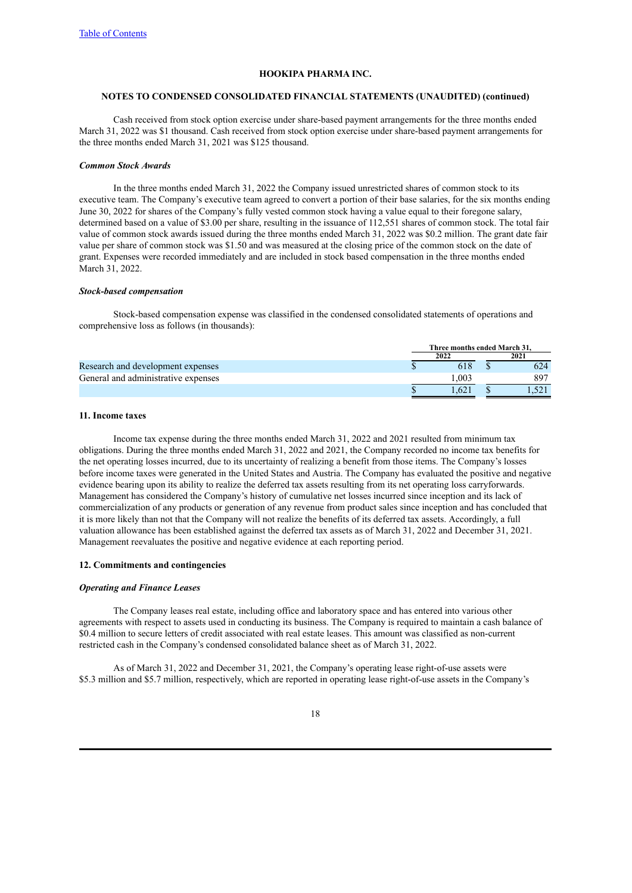#### **NOTES TO CONDENSED CONSOLIDATED FINANCIAL STATEMENTS (UNAUDITED) (continued)**

Cash received from stock option exercise under share-based payment arrangements for the three months ended March 31, 2022 was \$1 thousand. Cash received from stock option exercise under share-based payment arrangements for the three months ended March 31, 2021 was \$125 thousand.

#### *Common Stock Awards*

In the three months ended March 31, 2022 the Company issued unrestricted shares of common stock to its executive team. The Company's executive team agreed to convert a portion of their base salaries, for the six months ending June 30, 2022 for shares of the Company's fully vested common stock having a value equal to their foregone salary, determined based on a value of \$3.00 per share, resulting in the issuance of 112,551 shares of common stock. The total fair value of common stock awards issued during the three months ended March 31, 2022 was \$0.2 million. The grant date fair value per share of common stock was \$1.50 and was measured at the closing price of the common stock on the date of grant. Expenses were recorded immediately and are included in stock based compensation in the three months ended March 31, 2022.

#### *Stock-based compensation*

Stock-based compensation expense was classified in the condensed consolidated statements of operations and comprehensive loss as follows (in thousands):

|                                     | Three months ended March 31. |  |      |
|-------------------------------------|------------------------------|--|------|
|                                     | 2022                         |  | 2021 |
| Research and development expenses   |                              |  | 624  |
| General and administrative expenses | .003                         |  | 897  |
|                                     | .621                         |  |      |
|                                     |                              |  |      |

#### **11. Income taxes**

Income tax expense during the three months ended March 31, 2022 and 2021 resulted from minimum tax obligations. During the three months ended March 31, 2022 and 2021, the Company recorded no income tax benefits for the net operating losses incurred, due to its uncertainty of realizing a benefit from those items. The Company's losses before income taxes were generated in the United States and Austria. The Company has evaluated the positive and negative evidence bearing upon its ability to realize the deferred tax assets resulting from its net operating loss carryforwards. Management has considered the Company's history of cumulative net losses incurred since inception and its lack of commercialization of any products or generation of any revenue from product sales since inception and has concluded that it is more likely than not that the Company will not realize the benefits of its deferred tax assets. Accordingly, a full valuation allowance has been established against the deferred tax assets as of March 31, 2022 and December 31, 2021. Management reevaluates the positive and negative evidence at each reporting period.

#### **12. Commitments and contingencies**

# *Operating and Finance Leases*

The Company leases real estate, including office and laboratory space and has entered into various other agreements with respect to assets used in conducting its business. The Company is required to maintain a cash balance of \$0.4 million to secure letters of credit associated with real estate leases. This amount was classified as non-current restricted cash in the Company's condensed consolidated balance sheet as of March 31, 2022.

As of March 31, 2022 and December 31, 2021, the Company's operating lease right-of-use assets were \$5.3 million and \$5.7 million, respectively, which are reported in operating lease right-of-use assets in the Company's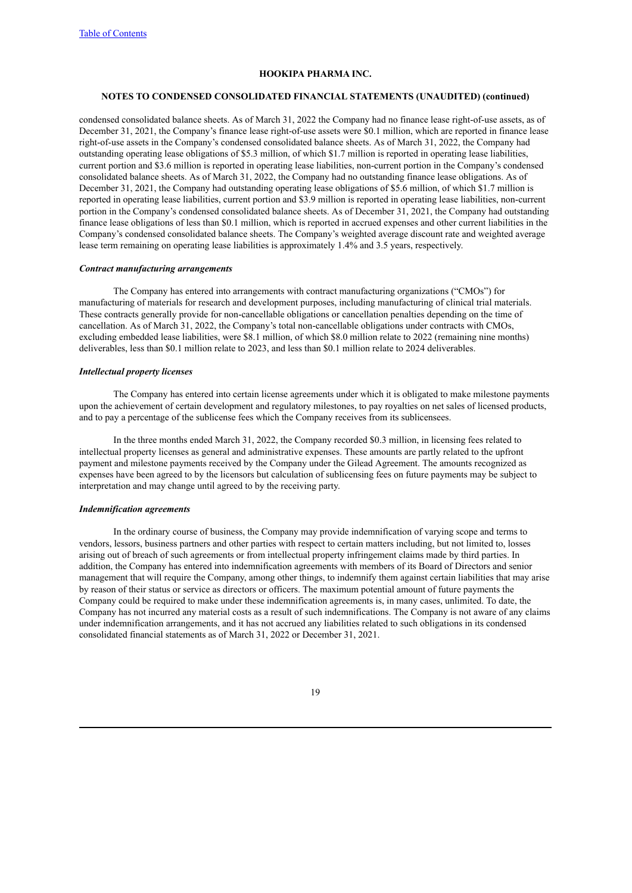### **NOTES TO CONDENSED CONSOLIDATED FINANCIAL STATEMENTS (UNAUDITED) (continued)**

condensed consolidated balance sheets. As of March 31, 2022 the Company had no finance lease right-of-use assets, as of December 31, 2021, the Company's finance lease right-of-use assets were \$0.1 million, which are reported in finance lease right-of-use assets in the Company's condensed consolidated balance sheets. As of March 31, 2022, the Company had outstanding operating lease obligations of \$5.3 million, of which \$1.7 million is reported in operating lease liabilities, current portion and \$3.6 million is reported in operating lease liabilities, non-current portion in the Company's condensed consolidated balance sheets. As of March 31, 2022, the Company had no outstanding finance lease obligations. As of December 31, 2021, the Company had outstanding operating lease obligations of \$5.6 million, of which \$1.7 million is reported in operating lease liabilities, current portion and \$3.9 million is reported in operating lease liabilities, non-current portion in the Company's condensed consolidated balance sheets. As of December 31, 2021, the Company had outstanding finance lease obligations of less than \$0.1 million, which is reported in accrued expenses and other current liabilities in the Company's condensed consolidated balance sheets. The Company's weighted average discount rate and weighted average lease term remaining on operating lease liabilities is approximately 1.4% and 3.5 years, respectively.

#### *Contract manufacturing arrangements*

The Company has entered into arrangements with contract manufacturing organizations ("CMOs") for manufacturing of materials for research and development purposes, including manufacturing of clinical trial materials. These contracts generally provide for non-cancellable obligations or cancellation penalties depending on the time of cancellation. As of March 31, 2022, the Company's total non-cancellable obligations under contracts with CMOs, excluding embedded lease liabilities, were \$8.1 million, of which \$8.0 million relate to 2022 (remaining nine months) deliverables, less than \$0.1 million relate to 2023, and less than \$0.1 million relate to 2024 deliverables.

#### *Intellectual property licenses*

The Company has entered into certain license agreements under which it is obligated to make milestone payments upon the achievement of certain development and regulatory milestones, to pay royalties on net sales of licensed products, and to pay a percentage of the sublicense fees which the Company receives from its sublicensees.

In the three months ended March 31, 2022, the Company recorded \$0.3 million, in licensing fees related to intellectual property licenses as general and administrative expenses. These amounts are partly related to the upfront payment and milestone payments received by the Company under the Gilead Agreement. The amounts recognized as expenses have been agreed to by the licensors but calculation of sublicensing fees on future payments may be subject to interpretation and may change until agreed to by the receiving party.

# *Indemnification agreements*

In the ordinary course of business, the Company may provide indemnification of varying scope and terms to vendors, lessors, business partners and other parties with respect to certain matters including, but not limited to, losses arising out of breach of such agreements or from intellectual property infringement claims made by third parties. In addition, the Company has entered into indemnification agreements with members of its Board of Directors and senior management that will require the Company, among other things, to indemnify them against certain liabilities that may arise by reason of their status or service as directors or officers. The maximum potential amount of future payments the Company could be required to make under these indemnification agreements is, in many cases, unlimited. To date, the Company has not incurred any material costs as a result of such indemnifications. The Company is not aware of any claims under indemnification arrangements, and it has not accrued any liabilities related to such obligations in its condensed consolidated financial statements as of March 31, 2022 or December 31, 2021.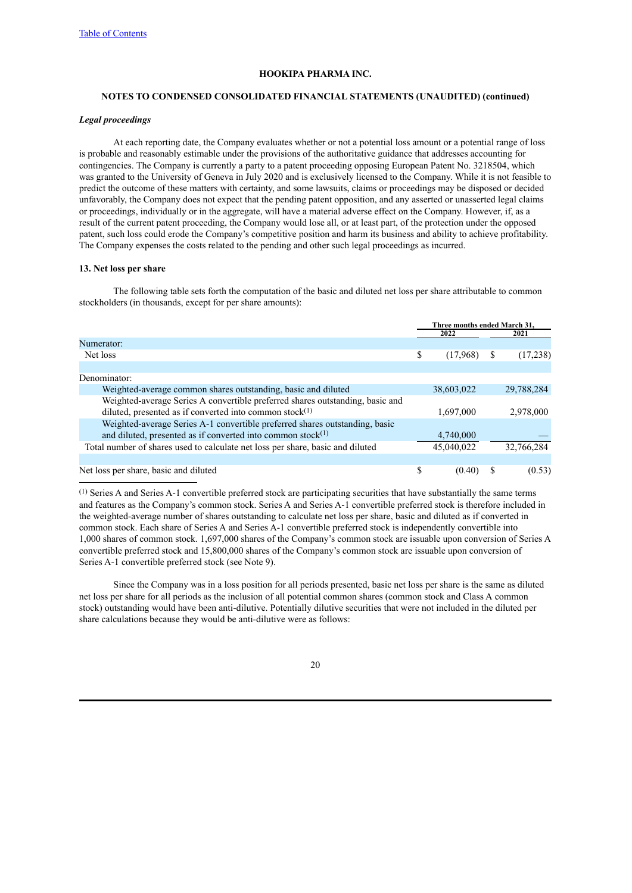#### **NOTES TO CONDENSED CONSOLIDATED FINANCIAL STATEMENTS (UNAUDITED) (continued)**

#### *Legal proceedings*

At each reporting date, the Company evaluates whether or not a potential loss amount or a potential range of loss is probable and reasonably estimable under the provisions of the authoritative guidance that addresses accounting for contingencies. The Company is currently a party to a patent proceeding opposing European Patent No. 3218504, which was granted to the University of Geneva in July 2020 and is exclusively licensed to the Company. While it is not feasible to predict the outcome of these matters with certainty, and some lawsuits, claims or proceedings may be disposed or decided unfavorably, the Company does not expect that the pending patent opposition, and any asserted or unasserted legal claims or proceedings, individually or in the aggregate, will have a material adverse effect on the Company. However, if, as a result of the current patent proceeding, the Company would lose all, or at least part, of the protection under the opposed patent, such loss could erode the Company's competitive position and harm its business and ability to achieve profitability. The Company expenses the costs related to the pending and other such legal proceedings as incurred.

### **13. Net loss per share**

The following table sets forth the computation of the basic and diluted net loss per share attributable to common stockholders (in thousands, except for per share amounts):

|                                                                                | Three months ended March 31. |            |  |            |
|--------------------------------------------------------------------------------|------------------------------|------------|--|------------|
|                                                                                | 2022                         |            |  | 2021       |
| Numerator:                                                                     |                              |            |  |            |
| Net loss                                                                       | \$                           | (17,968)   |  | (17,238)   |
|                                                                                |                              |            |  |            |
| Denominator:                                                                   |                              |            |  |            |
| Weighted-average common shares outstanding, basic and diluted                  |                              | 38,603,022 |  | 29,788,284 |
| Weighted-average Series A convertible preferred shares outstanding, basic and  |                              |            |  |            |
| diluted, presented as if converted into common stock $(1)$                     |                              | 1,697,000  |  | 2,978,000  |
| Weighted-average Series A-1 convertible preferred shares outstanding, basic    |                              |            |  |            |
| and diluted, presented as if converted into common stock $^{(1)}$              |                              | 4,740,000  |  |            |
| Total number of shares used to calculate net loss per share, basic and diluted |                              | 45,040,022 |  | 32,766,284 |
|                                                                                |                              |            |  |            |
| Net loss per share, basic and diluted                                          |                              | (0.40)     |  | (0.53)     |

(1) Series A and Series A-1 convertible preferred stock are participating securities that have substantially the same terms and features as the Company's common stock. Series A and Series A-1 convertible preferred stock is therefore included in the weighted-average number of shares outstanding to calculate net loss per share, basic and diluted as if converted in common stock. Each share of Series A and Series A-1 convertible preferred stock is independently convertible into 1,000 shares of common stock. 1,697,000 shares of the Company's common stock are issuable upon conversion of Series A convertible preferred stock and 15,800,000 shares of the Company's common stock are issuable upon conversion of Series A-1 convertible preferred stock (see Note 9).

Since the Company was in a loss position for all periods presented, basic net loss per share is the same as diluted net loss per share for all periods as the inclusion of all potential common shares (common stock and Class A common stock) outstanding would have been anti-dilutive. Potentially dilutive securities that were not included in the diluted per share calculations because they would be anti-dilutive were as follows: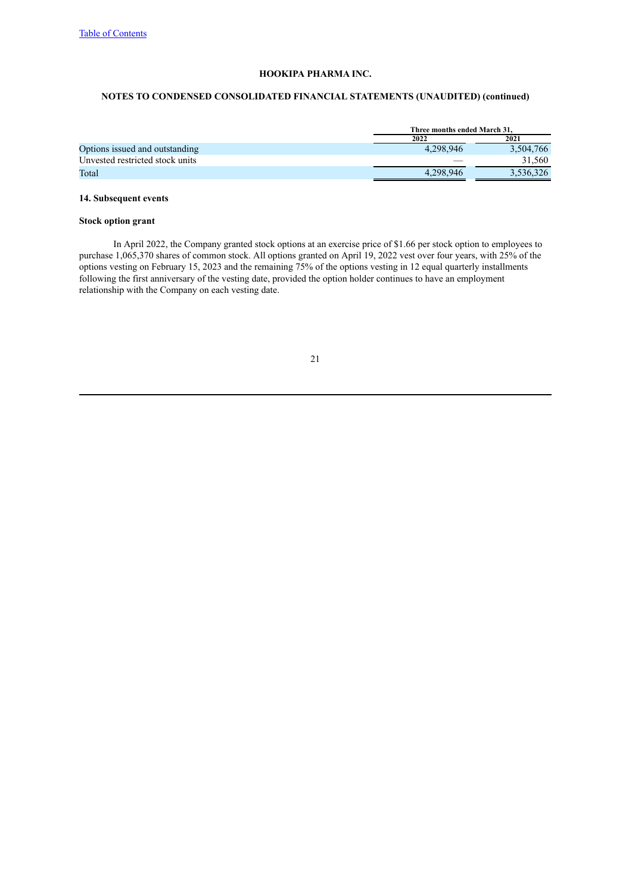# **NOTES TO CONDENSED CONSOLIDATED FINANCIAL STATEMENTS (UNAUDITED) (continued)**

|                                 |           | Three months ended March 31. |  |  |
|---------------------------------|-----------|------------------------------|--|--|
|                                 | 2022      | 2021                         |  |  |
| Options issued and outstanding  | 4.298.946 | 3.504.766                    |  |  |
| Unvested restricted stock units |           | 31.560                       |  |  |
| Total                           | 4.298.946 | 3,536,326                    |  |  |

# **14. Subsequent events**

# **Stock option grant**

In April 2022, the Company granted stock options at an exercise price of \$1.66 per stock option to employees to purchase 1,065,370 shares of common stock. All options granted on April 19, 2022 vest over four years, with 25% of the options vesting on February 15, 2023 and the remaining 75% of the options vesting in 12 equal quarterly installments following the first anniversary of the vesting date, provided the option holder continues to have an employment relationship with the Company on each vesting date.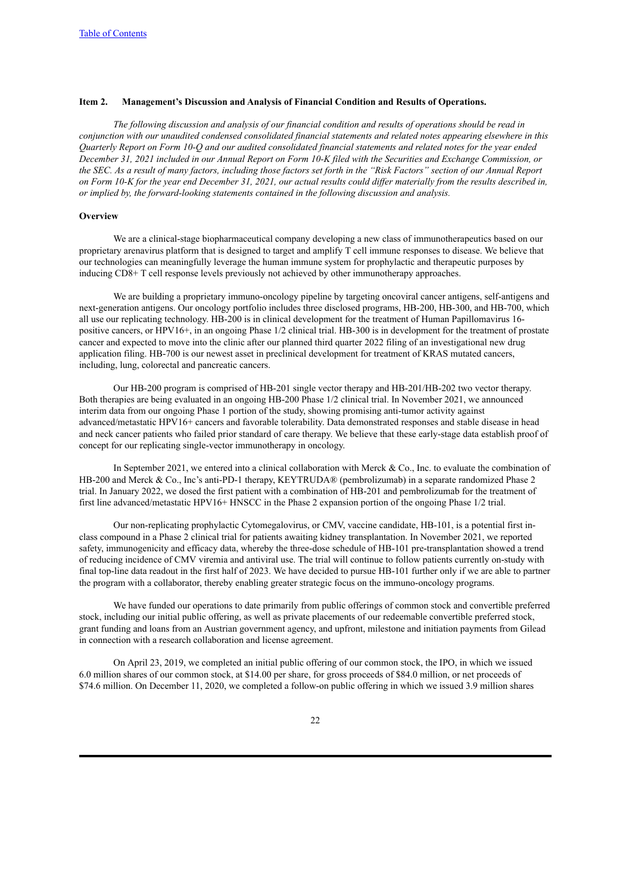### <span id="page-25-0"></span>**Item 2. Management's Discussion and Analysis of Financial Condition and Results of Operations.**

The following discussion and analysis of our financial condition and results of operations should be read in conjunction with our unaudited condensed consolidated financial statements and related notes appearing elsewhere in this Ouarterly Report on Form 10-O and our audited consolidated financial statements and related notes for the year ended December 31, 2021 included in our Annual Report on Form 10-K filed with the Securities and Exchange Commission, or the SEC. As a result of many factors, including those factors set forth in the "Risk Factors" section of our Annual Report on Form 10-K for the year end December 31, 2021, our actual results could differ materially from the results described in, *or implied by, the forward-looking statements contained in the following discussion and analysis.*

#### **Overview**

We are a clinical-stage biopharmaceutical company developing a new class of immunotherapeutics based on our proprietary arenavirus platform that is designed to target and amplify T cell immune responses to disease. We believe that our technologies can meaningfully leverage the human immune system for prophylactic and therapeutic purposes by inducing CD8+ T cell response levels previously not achieved by other immunotherapy approaches.

We are building a proprietary immuno-oncology pipeline by targeting oncoviral cancer antigens, self-antigens and next-generation antigens. Our oncology portfolio includes three disclosed programs, HB-200, HB-300, and HB-700, which all use our replicating technology. HB-200 is in clinical development for the treatment of Human Papillomavirus 16 positive cancers, or HPV16+, in an ongoing Phase 1/2 clinical trial. HB-300 is in development for the treatment of prostate cancer and expected to move into the clinic after our planned third quarter 2022 filing of an investigational new drug application filing. HB-700 is our newest asset in preclinical development for treatment of KRAS mutated cancers, including, lung, colorectal and pancreatic cancers.

Our HB-200 program is comprised of HB-201 single vector therapy and HB-201/HB-202 two vector therapy. Both therapies are being evaluated in an ongoing HB-200 Phase 1/2 clinical trial. In November 2021, we announced interim data from our ongoing Phase 1 portion of the study, showing promising anti-tumor activity against advanced/metastatic HPV16+ cancers and favorable tolerability. Data demonstrated responses and stable disease in head and neck cancer patients who failed prior standard of care therapy. We believe that these early-stage data establish proof of concept for our replicating single-vector immunotherapy in oncology.

In September 2021, we entered into a clinical collaboration with Merck & Co., Inc. to evaluate the combination of HB-200 and Merck & Co., Inc's anti-PD-1 therapy, KEYTRUDA® (pembrolizumab) in a separate randomized Phase 2 trial. In January 2022, we dosed the first patient with a combination of HB-201 and pembrolizumab for the treatment of first line advanced/metastatic HPV16+ HNSCC in the Phase 2 expansion portion of the ongoing Phase 1/2 trial.

Our non-replicating prophylactic Cytomegalovirus, or CMV, vaccine candidate, HB-101, is a potential first inclass compound in a Phase 2 clinical trial for patients awaiting kidney transplantation. In November 2021, we reported safety, immunogenicity and efficacy data, whereby the three-dose schedule of HB-101 pre-transplantation showed a trend of reducing incidence of CMV viremia and antiviral use. The trial will continue to follow patients currently on-study with final top-line data readout in the first half of 2023. We have decided to pursue HB-101 further only if we are able to partner the program with a collaborator, thereby enabling greater strategic focus on the immuno-oncology programs.

We have funded our operations to date primarily from public offerings of common stock and convertible preferred stock, including our initial public offering, as well as private placements of our redeemable convertible preferred stock, grant funding and loans from an Austrian government agency, and upfront, milestone and initiation payments from Gilead in connection with a research collaboration and license agreement.

On April 23, 2019, we completed an initial public offering of our common stock, the IPO, in which we issued 6.0 million shares of our common stock, at \$14.00 per share, for gross proceeds of \$84.0 million, or net proceeds of \$74.6 million. On December 11, 2020, we completed a follow-on public offering in which we issued 3.9 million shares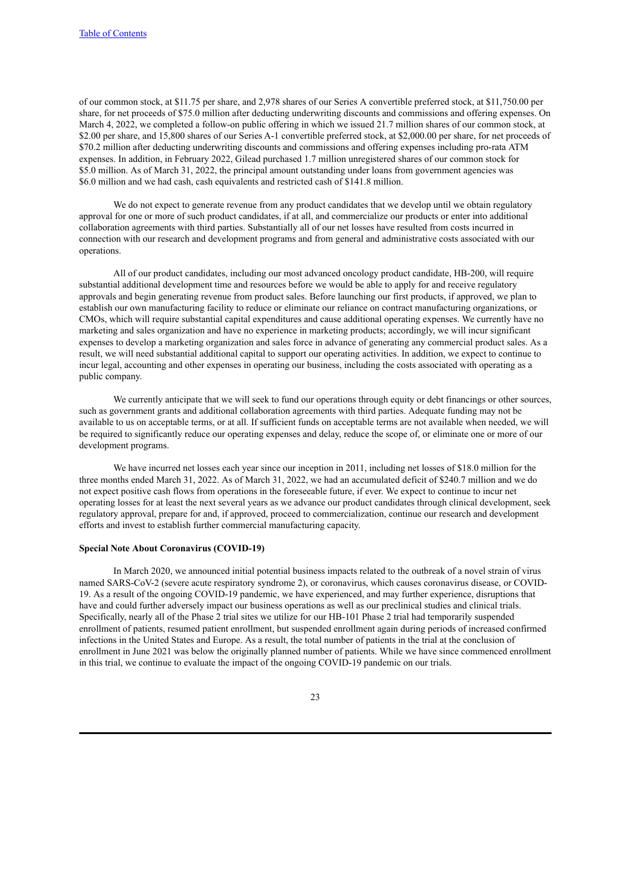of our common stock, at \$11.75 per share, and 2,978 shares of our Series A convertible preferred stock, at \$11,750.00 per share, for net proceeds of \$75.0 million after deducting underwriting discounts and commissions and offering expenses. On March 4, 2022, we completed a follow-on public offering in which we issued 21.7 million shares of our common stock, at \$2.00 per share, and 15,800 shares of our Series A-1 convertible preferred stock, at \$2,000.00 per share, for net proceeds of \$70.2 million after deducting underwriting discounts and commissions and offering expenses including pro-rata ATM expenses. In addition, in February 2022, Gilead purchased 1.7 million unregistered shares of our common stock for \$5.0 million. As of March 31, 2022, the principal amount outstanding under loans from government agencies was \$6.0 million and we had cash, cash equivalents and restricted cash of \$141.8 million.

We do not expect to generate revenue from any product candidates that we develop until we obtain regulatory approval for one or more of such product candidates, if at all, and commercialize our products or enter into additional collaboration agreements with third parties. Substantially all of our net losses have resulted from costs incurred in connection with our research and development programs and from general and administrative costs associated with our operations.

All of our product candidates, including our most advanced oncology product candidate, HB-200, will require substantial additional development time and resources before we would be able to apply for and receive regulatory approvals and begin generating revenue from product sales. Before launching our first products, if approved, we plan to establish our own manufacturing facility to reduce or eliminate our reliance on contract manufacturing organizations, or CMOs, which will require substantial capital expenditures and cause additional operating expenses. We currently have no marketing and sales organization and have no experience in marketing products; accordingly, we will incur significant expenses to develop a marketing organization and sales force in advance of generating any commercial product sales. As a result, we will need substantial additional capital to support our operating activities. In addition, we expect to continue to incur legal, accounting and other expenses in operating our business, including the costs associated with operating as a public company.

We currently anticipate that we will seek to fund our operations through equity or debt financings or other sources. such as government grants and additional collaboration agreements with third parties. Adequate funding may not be available to us on acceptable terms, or at all. If sufficient funds on acceptable terms are not available when needed, we will be required to significantly reduce our operating expenses and delay, reduce the scope of, or eliminate one or more of our development programs.

We have incurred net losses each year since our inception in 2011, including net losses of \$18.0 million for the three months ended March 31, 2022. As of March 31, 2022, we had an accumulated deficit of \$240.7 million and we do not expect positive cash flows from operations in the foreseeable future, if ever. We expect to continue to incur net operating losses for at least the next several years as we advance our product candidates through clinical development, seek regulatory approval, prepare for and, if approved, proceed to commercialization, continue our research and development efforts and invest to establish further commercial manufacturing capacity.

#### **Special Note About Coronavirus (COVID-19)**

In March 2020, we announced initial potential business impacts related to the outbreak of a novel strain of virus named SARS-CoV-2 (severe acute respiratory syndrome 2), or coronavirus, which causes coronavirus disease, or COVID-19. As a result of the ongoing COVID-19 pandemic, we have experienced, and may further experience, disruptions that have and could further adversely impact our business operations as well as our preclinical studies and clinical trials. Specifically, nearly all of the Phase 2 trial sites we utilize for our HB-101 Phase 2 trial had temporarily suspended enrollment of patients, resumed patient enrollment, but suspended enrollment again during periods of increased confirmed infections in the United States and Europe. As a result, the total number of patients in the trial at the conclusion of enrollment in June 2021 was below the originally planned number of patients. While we have since commenced enrollment in this trial, we continue to evaluate the impact of the ongoing COVID-19 pandemic on our trials.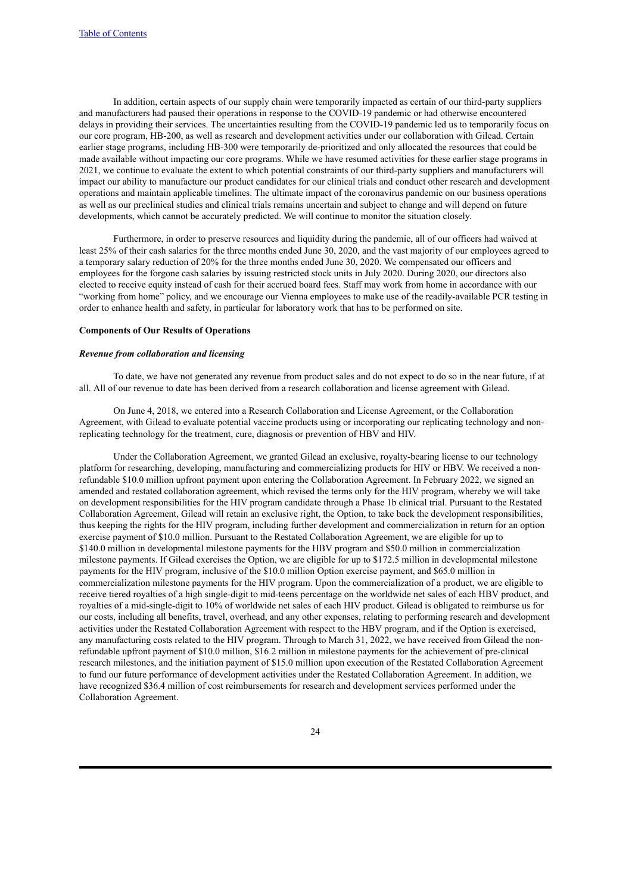In addition, certain aspects of our supply chain were temporarily impacted as certain of our third-party suppliers and manufacturers had paused their operations in response to the COVID-19 pandemic or had otherwise encountered delays in providing their services. The uncertainties resulting from the COVID-19 pandemic led us to temporarily focus on our core program, HB-200, as well as research and development activities under our collaboration with Gilead. Certain earlier stage programs, including HB-300 were temporarily de-prioritized and only allocated the resources that could be made available without impacting our core programs. While we have resumed activities for these earlier stage programs in 2021, we continue to evaluate the extent to which potential constraints of our third-party suppliers and manufacturers will impact our ability to manufacture our product candidates for our clinical trials and conduct other research and development operations and maintain applicable timelines. The ultimate impact of the coronavirus pandemic on our business operations as well as our preclinical studies and clinical trials remains uncertain and subject to change and will depend on future developments, which cannot be accurately predicted. We will continue to monitor the situation closely.

Furthermore, in order to preserve resources and liquidity during the pandemic, all of our officers had waived at least 25% of their cash salaries for the three months ended June 30, 2020, and the vast majority of our employees agreed to a temporary salary reduction of 20% for the three months ended June 30, 2020. We compensated our officers and employees for the forgone cash salaries by issuing restricted stock units in July 2020. During 2020, our directors also elected to receive equity instead of cash for their accrued board fees. Staff may work from home in accordance with our "working from home" policy, and we encourage our Vienna employees to make use of the readily-available PCR testing in order to enhance health and safety, in particular for laboratory work that has to be performed on site.

#### **Components of Our Results of Operations**

### *Revenue from collaboration and licensing*

To date, we have not generated any revenue from product sales and do not expect to do so in the near future, if at all. All of our revenue to date has been derived from a research collaboration and license agreement with Gilead.

On June 4, 2018, we entered into a Research Collaboration and License Agreement, or the Collaboration Agreement, with Gilead to evaluate potential vaccine products using or incorporating our replicating technology and nonreplicating technology for the treatment, cure, diagnosis or prevention of HBV and HIV.

Under the Collaboration Agreement, we granted Gilead an exclusive, royalty-bearing license to our technology platform for researching, developing, manufacturing and commercializing products for HIV or HBV. We received a nonrefundable \$10.0 million upfront payment upon entering the Collaboration Agreement. In February 2022, we signed an amended and restated collaboration agreement, which revised the terms only for the HIV program, whereby we will take on development responsibilities for the HIV program candidate through a Phase 1b clinical trial. Pursuant to the Restated Collaboration Agreement, Gilead will retain an exclusive right, the Option, to take back the development responsibilities, thus keeping the rights for the HIV program, including further development and commercialization in return for an option exercise payment of \$10.0 million. Pursuant to the Restated Collaboration Agreement, we are eligible for up to \$140.0 million in developmental milestone payments for the HBV program and \$50.0 million in commercialization milestone payments. If Gilead exercises the Option, we are eligible for up to \$172.5 million in developmental milestone payments for the HIV program, inclusive of the \$10.0 million Option exercise payment, and \$65.0 million in commercialization milestone payments for the HIV program. Upon the commercialization of a product, we are eligible to receive tiered royalties of a high single-digit to mid-teens percentage on the worldwide net sales of each HBV product, and royalties of a mid-single-digit to 10% of worldwide net sales of each HIV product. Gilead is obligated to reimburse us for our costs, including all benefits, travel, overhead, and any other expenses, relating to performing research and development activities under the Restated Collaboration Agreement with respect to the HBV program, and if the Option is exercised, any manufacturing costs related to the HIV program. Through to March 31, 2022, we have received from Gilead the nonrefundable upfront payment of \$10.0 million, \$16.2 million in milestone payments for the achievement of pre-clinical research milestones, and the initiation payment of \$15.0 million upon execution of the Restated Collaboration Agreement to fund our future performance of development activities under the Restated Collaboration Agreement. In addition, we have recognized \$36.4 million of cost reimbursements for research and development services performed under the Collaboration Agreement.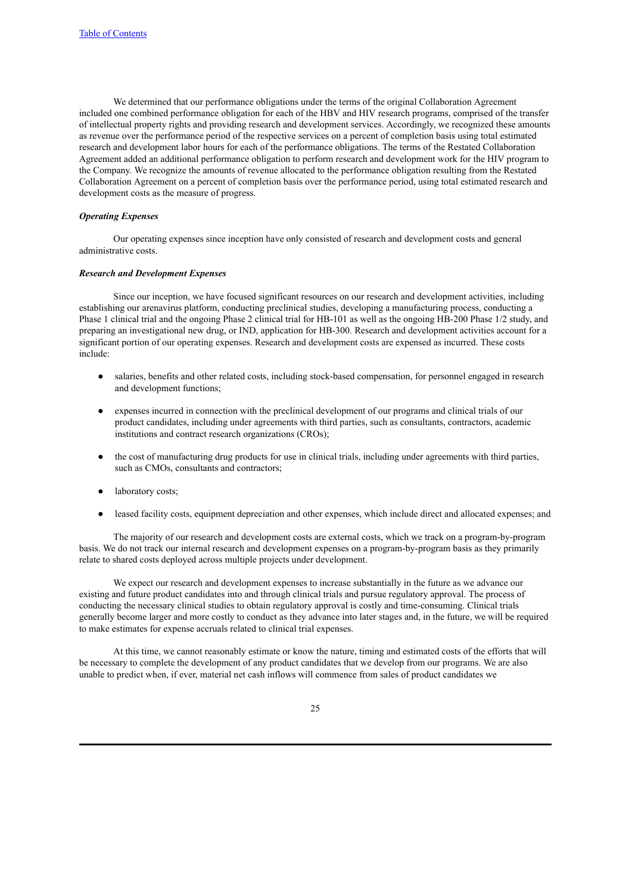We determined that our performance obligations under the terms of the original Collaboration Agreement included one combined performance obligation for each of the HBV and HIV research programs, comprised of the transfer of intellectual property rights and providing research and development services. Accordingly, we recognized these amounts as revenue over the performance period of the respective services on a percent of completion basis using total estimated research and development labor hours for each of the performance obligations. The terms of the Restated Collaboration Agreement added an additional performance obligation to perform research and development work for the HIV program to the Company. We recognize the amounts of revenue allocated to the performance obligation resulting from the Restated Collaboration Agreement on a percent of completion basis over the performance period, using total estimated research and development costs as the measure of progress.

#### *Operating Expenses*

Our operating expenses since inception have only consisted of research and development costs and general administrative costs.

#### *Research and Development Expenses*

Since our inception, we have focused significant resources on our research and development activities, including establishing our arenavirus platform, conducting preclinical studies, developing a manufacturing process, conducting a Phase 1 clinical trial and the ongoing Phase 2 clinical trial for HB-101 as well as the ongoing HB-200 Phase 1/2 study, and preparing an investigational new drug, or IND, application for HB-300. Research and development activities account for a significant portion of our operating expenses. Research and development costs are expensed as incurred. These costs include:

- salaries, benefits and other related costs, including stock-based compensation, for personnel engaged in research and development functions;
- expenses incurred in connection with the preclinical development of our programs and clinical trials of our product candidates, including under agreements with third parties, such as consultants, contractors, academic institutions and contract research organizations (CROs);
- the cost of manufacturing drug products for use in clinical trials, including under agreements with third parties, such as CMOs, consultants and contractors;
- laboratory costs;
- leased facility costs, equipment depreciation and other expenses, which include direct and allocated expenses; and

The majority of our research and development costs are external costs, which we track on a program-by-program basis. We do not track our internal research and development expenses on a program-by-program basis as they primarily relate to shared costs deployed across multiple projects under development.

We expect our research and development expenses to increase substantially in the future as we advance our existing and future product candidates into and through clinical trials and pursue regulatory approval. The process of conducting the necessary clinical studies to obtain regulatory approval is costly and time-consuming. Clinical trials generally become larger and more costly to conduct as they advance into later stages and, in the future, we will be required to make estimates for expense accruals related to clinical trial expenses.

At this time, we cannot reasonably estimate or know the nature, timing and estimated costs of the efforts that will be necessary to complete the development of any product candidates that we develop from our programs. We are also unable to predict when, if ever, material net cash inflows will commence from sales of product candidates we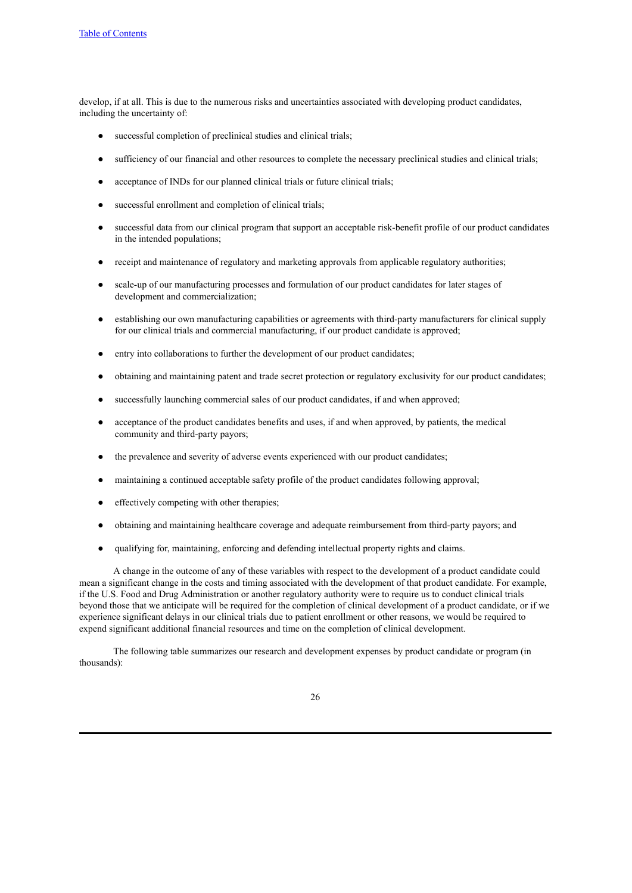develop, if at all. This is due to the numerous risks and uncertainties associated with developing product candidates, including the uncertainty of:

- successful completion of preclinical studies and clinical trials;
- sufficiency of our financial and other resources to complete the necessary preclinical studies and clinical trials;
- acceptance of INDs for our planned clinical trials or future clinical trials;
- successful enrollment and completion of clinical trials;
- successful data from our clinical program that support an acceptable risk-benefit profile of our product candidates in the intended populations;
- receipt and maintenance of regulatory and marketing approvals from applicable regulatory authorities;
- scale-up of our manufacturing processes and formulation of our product candidates for later stages of development and commercialization;
- establishing our own manufacturing capabilities or agreements with third-party manufacturers for clinical supply for our clinical trials and commercial manufacturing, if our product candidate is approved;
- entry into collaborations to further the development of our product candidates;
- obtaining and maintaining patent and trade secret protection or regulatory exclusivity for our product candidates;
- successfully launching commercial sales of our product candidates, if and when approved;
- acceptance of the product candidates benefits and uses, if and when approved, by patients, the medical community and third-party payors;
- the prevalence and severity of adverse events experienced with our product candidates;
- maintaining a continued acceptable safety profile of the product candidates following approval;
- effectively competing with other therapies;
- obtaining and maintaining healthcare coverage and adequate reimbursement from third-party payors; and
- qualifying for, maintaining, enforcing and defending intellectual property rights and claims.

A change in the outcome of any of these variables with respect to the development of a product candidate could mean a significant change in the costs and timing associated with the development of that product candidate. For example, if the U.S. Food and Drug Administration or another regulatory authority were to require us to conduct clinical trials beyond those that we anticipate will be required for the completion of clinical development of a product candidate, or if we experience significant delays in our clinical trials due to patient enrollment or other reasons, we would be required to expend significant additional financial resources and time on the completion of clinical development.

The following table summarizes our research and development expenses by product candidate or program (in thousands):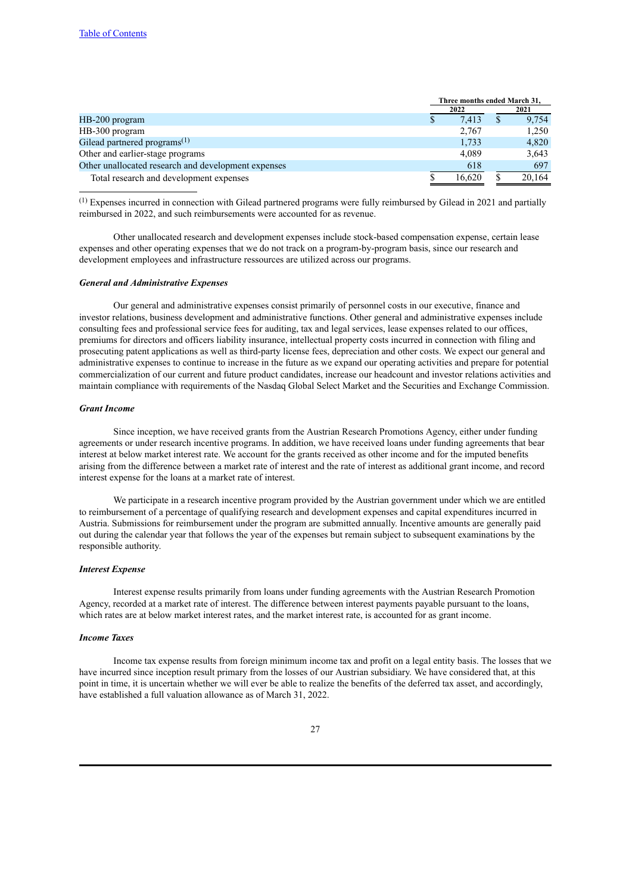|                                                     | Three months ended March 31, |  |        |
|-----------------------------------------------------|------------------------------|--|--------|
|                                                     | 2022                         |  | 2021   |
| HB-200 program                                      | 7,413                        |  | 9,754  |
| HB-300 program                                      | 2,767                        |  | 1,250  |
| Gilead partnered programs $(1)$                     | 1,733                        |  | 4,820  |
| Other and earlier-stage programs                    | 4,089                        |  | 3,643  |
| Other unallocated research and development expenses | 618                          |  | 697    |
| Total research and development expenses             | 16.620                       |  | 20.164 |
|                                                     |                              |  |        |

(1) Expenses incurred in connection with Gilead partnered programs were fully reimbursed by Gilead in 2021 and partially reimbursed in 2022, and such reimbursements were accounted for as revenue.

Other unallocated research and development expenses include stock-based compensation expense, certain lease expenses and other operating expenses that we do not track on a program-by-program basis, since our research and development employees and infrastructure ressources are utilized across our programs.

#### *General and Administrative Expenses*

Our general and administrative expenses consist primarily of personnel costs in our executive, finance and investor relations, business development and administrative functions. Other general and administrative expenses include consulting fees and professional service fees for auditing, tax and legal services, lease expenses related to our offices, premiums for directors and officers liability insurance, intellectual property costs incurred in connection with filing and prosecuting patent applications as well as third-party license fees, depreciation and other costs. We expect our general and administrative expenses to continue to increase in the future as we expand our operating activities and prepare for potential commercialization of our current and future product candidates, increase our headcount and investor relations activities and maintain compliance with requirements of the Nasdaq Global Select Market and the Securities and Exchange Commission.

#### *Grant Income*

Since inception, we have received grants from the Austrian Research Promotions Agency, either under funding agreements or under research incentive programs. In addition, we have received loans under funding agreements that bear interest at below market interest rate. We account for the grants received as other income and for the imputed benefits arising from the difference between a market rate of interest and the rate of interest as additional grant income, and record interest expense for the loans at a market rate of interest.

We participate in a research incentive program provided by the Austrian government under which we are entitled to reimbursement of a percentage of qualifying research and development expenses and capital expenditures incurred in Austria. Submissions for reimbursement under the program are submitted annually. Incentive amounts are generally paid out during the calendar year that follows the year of the expenses but remain subject to subsequent examinations by the responsible authority.

# *Interest Expense*

Interest expense results primarily from loans under funding agreements with the Austrian Research Promotion Agency, recorded at a market rate of interest. The difference between interest payments payable pursuant to the loans, which rates are at below market interest rates, and the market interest rate, is accounted for as grant income.

### *Income Taxes*

Income tax expense results from foreign minimum income tax and profit on a legal entity basis. The losses that we have incurred since inception result primary from the losses of our Austrian subsidiary. We have considered that, at this point in time, it is uncertain whether we will ever be able to realize the benefits of the deferred tax asset, and accordingly, have established a full valuation allowance as of March 31, 2022.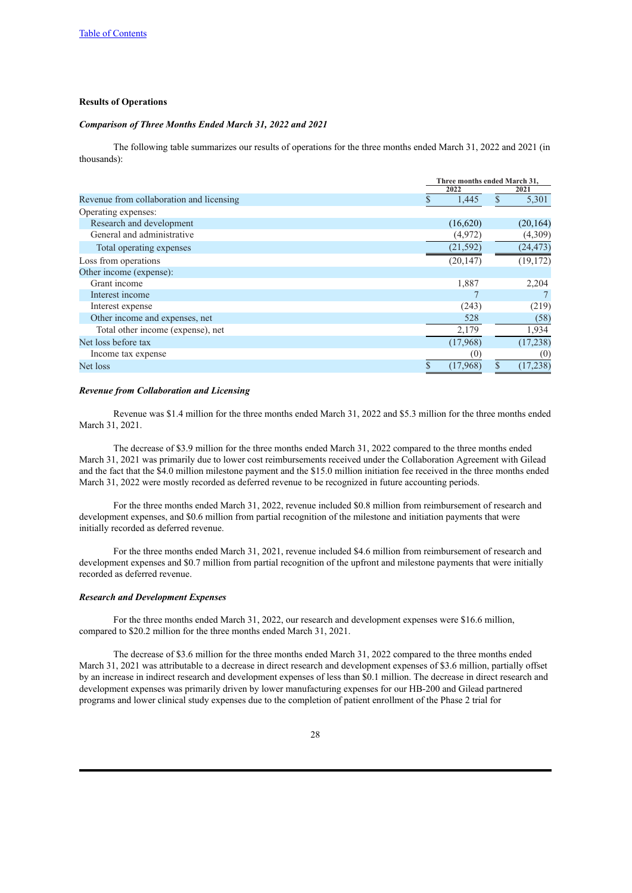### **Results of Operations**

### *Comparison of Three Months Ended March 31, 2022 and 2021*

The following table summarizes our results of operations for the three months ended March 31, 2022 and 2021 (in thousands):

|                                          |           | Three months ended March 31, |  |  |
|------------------------------------------|-----------|------------------------------|--|--|
|                                          | 2022      | 2021                         |  |  |
| Revenue from collaboration and licensing | 1,445     | 5,301<br>S                   |  |  |
| Operating expenses:                      |           |                              |  |  |
| Research and development                 | (16,620)  | (20, 164)                    |  |  |
| General and administrative               | (4,972)   | (4,309)                      |  |  |
| Total operating expenses                 | (21, 592) | (24, 473)                    |  |  |
| Loss from operations                     | (20, 147) | (19, 172)                    |  |  |
| Other income (expense):                  |           |                              |  |  |
| Grant income                             | 1,887     | 2,204                        |  |  |
| Interest income                          |           |                              |  |  |
| Interest expense                         | (243)     | (219)                        |  |  |
| Other income and expenses, net           | 528       | (58)                         |  |  |
| Total other income (expense), net        | 2,179     | 1,934                        |  |  |
| Net loss before tax                      | (17,968)  | (17, 238)                    |  |  |
| Income tax expense                       | (0)       | (0)                          |  |  |
| Net loss                                 | (17,968)  | \$<br>(17, 238)              |  |  |

#### *Revenue from Collaboration and Licensing*

Revenue was \$1.4 million for the three months ended March 31, 2022 and \$5.3 million for the three months ended March 31, 2021.

The decrease of \$3.9 million for the three months ended March 31, 2022 compared to the three months ended March 31, 2021 was primarily due to lower cost reimbursements received under the Collaboration Agreement with Gilead and the fact that the \$4.0 million milestone payment and the \$15.0 million initiation fee received in the three months ended March 31, 2022 were mostly recorded as deferred revenue to be recognized in future accounting periods.

For the three months ended March 31, 2022, revenue included \$0.8 million from reimbursement of research and development expenses, and \$0.6 million from partial recognition of the milestone and initiation payments that were initially recorded as deferred revenue.

For the three months ended March 31, 2021, revenue included \$4.6 million from reimbursement of research and development expenses and \$0.7 million from partial recognition of the upfront and milestone payments that were initially recorded as deferred revenue.

# *Research and Development Expenses*

For the three months ended March 31, 2022, our research and development expenses were \$16.6 million, compared to \$20.2 million for the three months ended March 31, 2021.

The decrease of \$3.6 million for the three months ended March 31, 2022 compared to the three months ended March 31, 2021 was attributable to a decrease in direct research and development expenses of \$3.6 million, partially offset by an increase in indirect research and development expenses of less than \$0.1 million. The decrease in direct research and development expenses was primarily driven by lower manufacturing expenses for our HB-200 and Gilead partnered programs and lower clinical study expenses due to the completion of patient enrollment of the Phase 2 trial for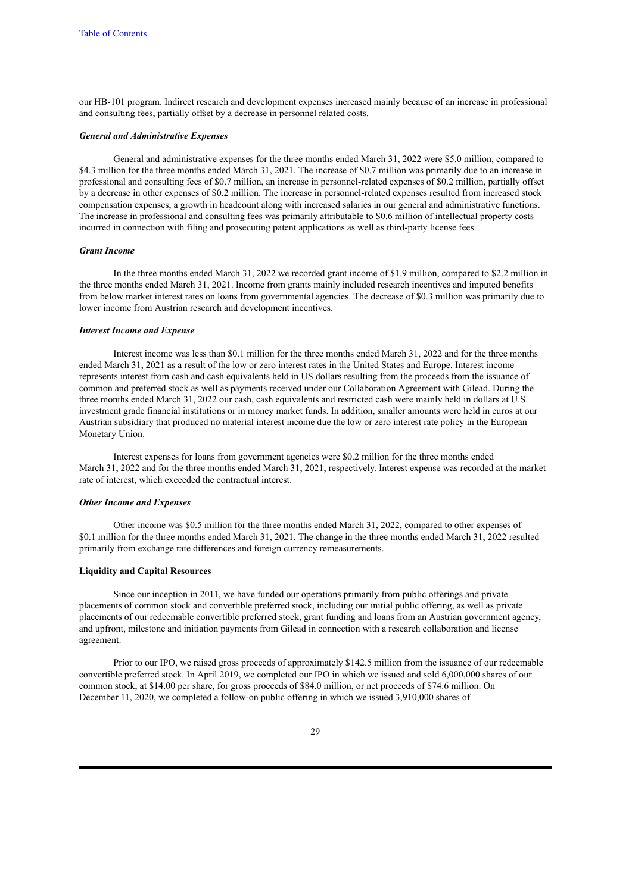our HB-101 program. Indirect research and development expenses increased mainly because of an increase in professional and consulting fees, partially offset by a decrease in personnel related costs.

### *General and Administrative Expenses*

General and administrative expenses for the three months ended March 31, 2022 were \$5.0 million, compared to \$4.3 million for the three months ended March 31, 2021. The increase of \$0.7 million was primarily due to an increase in professional and consulting fees of \$0.7 million, an increase in personnel-related expenses of \$0.2 million, partially offset by a decrease in other expenses of \$0.2 million. The increase in personnel-related expenses resulted from increased stock compensation expenses, a growth in headcount along with increased salaries in our general and administrative functions. The increase in professional and consulting fees was primarily attributable to \$0.6 million of intellectual property costs incurred in connection with filing and prosecuting patent applications as well as third-party license fees.

### *Grant Income*

In the three months ended March 31, 2022 we recorded grant income of \$1.9 million, compared to \$2.2 million in the three months ended March 31, 2021. Income from grants mainly included research incentives and imputed benefits from below market interest rates on loans from governmental agencies. The decrease of \$0.3 million was primarily due to lower income from Austrian research and development incentives.

### *Interest Income and Expense*

Interest income was less than \$0.1 million for the three months ended March 31, 2022 and for the three months ended March 31, 2021 as a result of the low or zero interest rates in the United States and Europe. Interest income represents interest from cash and cash equivalents held in US dollars resulting from the proceeds from the issuance of common and preferred stock as well as payments received under our Collaboration Agreement with Gilead. During the three months ended March 31, 2022 our cash, cash equivalents and restricted cash were mainly held in dollars at U.S. investment grade financial institutions or in money market funds. In addition, smaller amounts were held in euros at our Austrian subsidiary that produced no material interest income due the low or zero interest rate policy in the European Monetary Union.

Interest expenses for loans from government agencies were \$0.2 million for the three months ended March 31, 2022 and for the three months ended March 31, 2021, respectively. Interest expense was recorded at the market rate of interest, which exceeded the contractual interest.

#### *Other Income and Expenses*

Other income was \$0.5 million for the three months ended March 31, 2022, compared to other expenses of \$0.1 million for the three months ended March 31, 2021. The change in the three months ended March 31, 2022 resulted primarily from exchange rate differences and foreign currency remeasurements.

#### **Liquidity and Capital Resources**

Since our inception in 2011, we have funded our operations primarily from public offerings and private placements of common stock and convertible preferred stock, including our initial public offering, as well as private placements of our redeemable convertible preferred stock, grant funding and loans from an Austrian government agency, and upfront, milestone and initiation payments from Gilead in connection with a research collaboration and license agreement.

Prior to our IPO, we raised gross proceeds of approximately \$142.5 million from the issuance of our redeemable convertible preferred stock. In April 2019, we completed our IPO in which we issued and sold 6,000,000 shares of our common stock, at \$14.00 per share, for gross proceeds of \$84.0 million, or net proceeds of \$74.6 million. On December 11, 2020, we completed a follow-on public offering in which we issued 3,910,000 shares of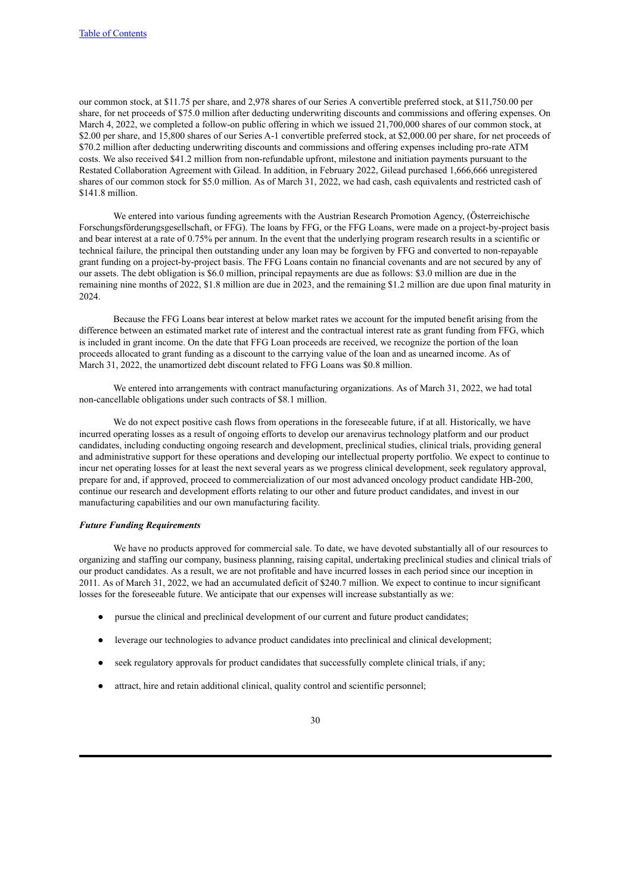our common stock, at \$11.75 per share, and 2,978 shares of our Series A convertible preferred stock, at \$11,750.00 per share, for net proceeds of \$75.0 million after deducting underwriting discounts and commissions and offering expenses. On March 4, 2022, we completed a follow-on public offering in which we issued 21,700,000 shares of our common stock, at \$2.00 per share, and 15,800 shares of our Series A-1 convertible preferred stock, at \$2,000.00 per share, for net proceeds of \$70.2 million after deducting underwriting discounts and commissions and offering expenses including pro-rate ATM costs. We also received \$41.2 million from non-refundable upfront, milestone and initiation payments pursuant to the Restated Collaboration Agreement with Gilead. In addition, in February 2022, Gilead purchased 1,666,666 unregistered shares of our common stock for \$5.0 million. As of March 31, 2022, we had cash, cash equivalents and restricted cash of \$141.8 million.

We entered into various funding agreements with the Austrian Research Promotion Agency, (Österreichische Forschungsförderungsgesellschaft, or FFG). The loans by FFG, or the FFG Loans, were made on a project-by-project basis and bear interest at a rate of 0.75% per annum. In the event that the underlying program research results in a scientific or technical failure, the principal then outstanding under any loan may be forgiven by FFG and converted to non-repayable grant funding on a project-by-project basis. The FFG Loans contain no financial covenants and are not secured by any of our assets. The debt obligation is \$6.0 million, principal repayments are due as follows: \$3.0 million are due in the remaining nine months of 2022, \$1.8 million are due in 2023, and the remaining \$1.2 million are due upon final maturity in 2024.

Because the FFG Loans bear interest at below market rates we account for the imputed benefit arising from the difference between an estimated market rate of interest and the contractual interest rate as grant funding from FFG, which is included in grant income. On the date that FFG Loan proceeds are received, we recognize the portion of the loan proceeds allocated to grant funding as a discount to the carrying value of the loan and as unearned income. As of March 31, 2022, the unamortized debt discount related to FFG Loans was \$0.8 million.

We entered into arrangements with contract manufacturing organizations. As of March 31, 2022, we had total non-cancellable obligations under such contracts of \$8.1 million.

We do not expect positive cash flows from operations in the foreseeable future, if at all. Historically, we have incurred operating losses as a result of ongoing efforts to develop our arenavirus technology platform and our product candidates, including conducting ongoing research and development, preclinical studies, clinical trials, providing general and administrative support for these operations and developing our intellectual property portfolio. We expect to continue to incur net operating losses for at least the next several years as we progress clinical development, seek regulatory approval, prepare for and, if approved, proceed to commercialization of our most advanced oncology product candidate HB-200, continue our research and development efforts relating to our other and future product candidates, and invest in our manufacturing capabilities and our own manufacturing facility.

#### *Future Funding Requirements*

We have no products approved for commercial sale. To date, we have devoted substantially all of our resources to organizing and staffing our company, business planning, raising capital, undertaking preclinical studies and clinical trials of our product candidates. As a result, we are not profitable and have incurred losses in each period since our inception in 2011. As of March 31, 2022, we had an accumulated deficit of \$240.7 million. We expect to continue to incur significant losses for the foreseeable future. We anticipate that our expenses will increase substantially as we:

- pursue the clinical and preclinical development of our current and future product candidates;
- leverage our technologies to advance product candidates into preclinical and clinical development;
- seek regulatory approvals for product candidates that successfully complete clinical trials, if any;
- attract, hire and retain additional clinical, quality control and scientific personnel;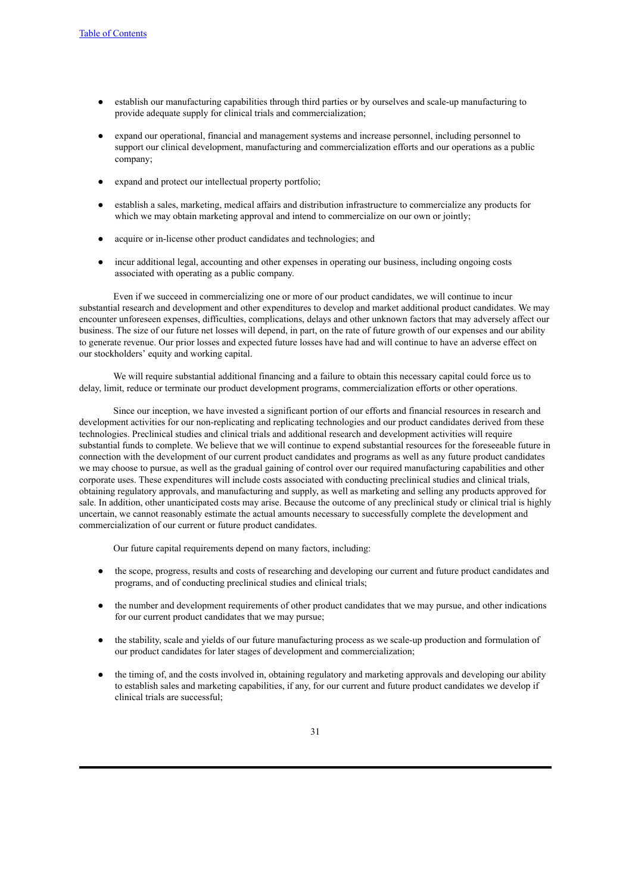- establish our manufacturing capabilities through third parties or by ourselves and scale-up manufacturing to provide adequate supply for clinical trials and commercialization;
- expand our operational, financial and management systems and increase personnel, including personnel to support our clinical development, manufacturing and commercialization efforts and our operations as a public company;
- expand and protect our intellectual property portfolio;
- establish a sales, marketing, medical affairs and distribution infrastructure to commercialize any products for which we may obtain marketing approval and intend to commercialize on our own or jointly;
- acquire or in-license other product candidates and technologies; and
- incur additional legal, accounting and other expenses in operating our business, including ongoing costs associated with operating as a public company.

Even if we succeed in commercializing one or more of our product candidates, we will continue to incur substantial research and development and other expenditures to develop and market additional product candidates. We may encounter unforeseen expenses, difficulties, complications, delays and other unknown factors that may adversely affect our business. The size of our future net losses will depend, in part, on the rate of future growth of our expenses and our ability to generate revenue. Our prior losses and expected future losses have had and will continue to have an adverse effect on our stockholders' equity and working capital.

We will require substantial additional financing and a failure to obtain this necessary capital could force us to delay, limit, reduce or terminate our product development programs, commercialization efforts or other operations.

Since our inception, we have invested a significant portion of our efforts and financial resources in research and development activities for our non-replicating and replicating technologies and our product candidates derived from these technologies. Preclinical studies and clinical trials and additional research and development activities will require substantial funds to complete. We believe that we will continue to expend substantial resources for the foreseeable future in connection with the development of our current product candidates and programs as well as any future product candidates we may choose to pursue, as well as the gradual gaining of control over our required manufacturing capabilities and other corporate uses. These expenditures will include costs associated with conducting preclinical studies and clinical trials, obtaining regulatory approvals, and manufacturing and supply, as well as marketing and selling any products approved for sale. In addition, other unanticipated costs may arise. Because the outcome of any preclinical study or clinical trial is highly uncertain, we cannot reasonably estimate the actual amounts necessary to successfully complete the development and commercialization of our current or future product candidates.

Our future capital requirements depend on many factors, including:

- the scope, progress, results and costs of researching and developing our current and future product candidates and programs, and of conducting preclinical studies and clinical trials;
- the number and development requirements of other product candidates that we may pursue, and other indications for our current product candidates that we may pursue;
- the stability, scale and yields of our future manufacturing process as we scale-up production and formulation of our product candidates for later stages of development and commercialization;
- the timing of, and the costs involved in, obtaining regulatory and marketing approvals and developing our ability to establish sales and marketing capabilities, if any, for our current and future product candidates we develop if clinical trials are successful;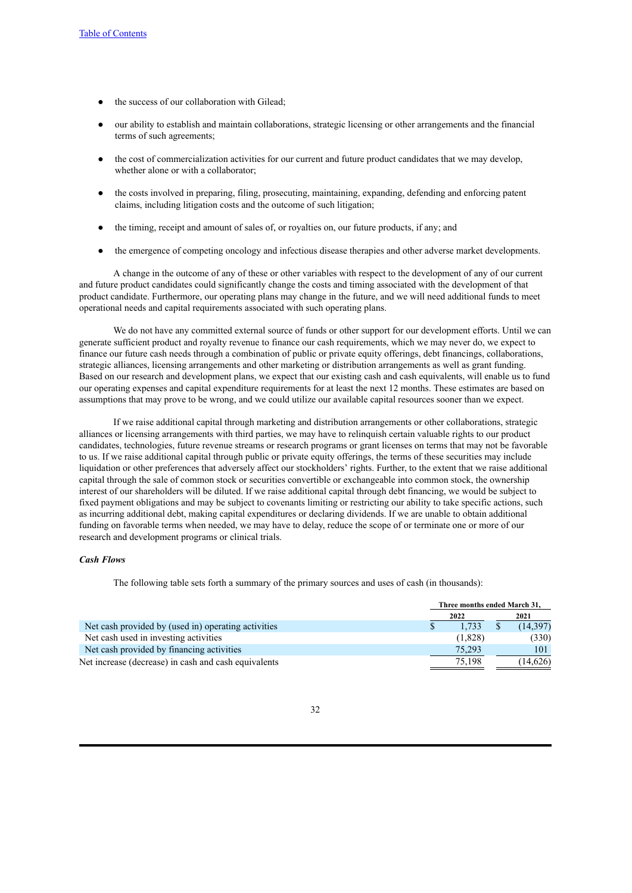- the success of our collaboration with Gilead:
- our ability to establish and maintain collaborations, strategic licensing or other arrangements and the financial terms of such agreements;
- the cost of commercialization activities for our current and future product candidates that we may develop, whether alone or with a collaborator:
- the costs involved in preparing, filing, prosecuting, maintaining, expanding, defending and enforcing patent claims, including litigation costs and the outcome of such litigation;
- the timing, receipt and amount of sales of, or royalties on, our future products, if any; and
- the emergence of competing oncology and infectious disease therapies and other adverse market developments.

A change in the outcome of any of these or other variables with respect to the development of any of our current and future product candidates could significantly change the costs and timing associated with the development of that product candidate. Furthermore, our operating plans may change in the future, and we will need additional funds to meet operational needs and capital requirements associated with such operating plans.

We do not have any committed external source of funds or other support for our development efforts. Until we can generate sufficient product and royalty revenue to finance our cash requirements, which we may never do, we expect to finance our future cash needs through a combination of public or private equity offerings, debt financings, collaborations, strategic alliances, licensing arrangements and other marketing or distribution arrangements as well as grant funding. Based on our research and development plans, we expect that our existing cash and cash equivalents, will enable us to fund our operating expenses and capital expenditure requirements for at least the next 12 months. These estimates are based on assumptions that may prove to be wrong, and we could utilize our available capital resources sooner than we expect.

If we raise additional capital through marketing and distribution arrangements or other collaborations, strategic alliances or licensing arrangements with third parties, we may have to relinquish certain valuable rights to our product candidates, technologies, future revenue streams or research programs or grant licenses on terms that may not be favorable to us. If we raise additional capital through public or private equity offerings, the terms of these securities may include liquidation or other preferences that adversely affect our stockholders' rights. Further, to the extent that we raise additional capital through the sale of common stock or securities convertible or exchangeable into common stock, the ownership interest of our shareholders will be diluted. If we raise additional capital through debt financing, we would be subject to fixed payment obligations and may be subject to covenants limiting or restricting our ability to take specific actions, such as incurring additional debt, making capital expenditures or declaring dividends. If we are unable to obtain additional funding on favorable terms when needed, we may have to delay, reduce the scope of or terminate one or more of our research and development programs or clinical trials.

### *Cash Flows*

The following table sets forth a summary of the primary sources and uses of cash (in thousands):

|                                                      | Three months ended March 31, |  |           |
|------------------------------------------------------|------------------------------|--|-----------|
|                                                      | 2022                         |  | 2021      |
| Net cash provided by (used in) operating activities  | 1.733                        |  | (14, 397) |
| Net cash used in investing activities                | (1,828)                      |  | (330)     |
| Net cash provided by financing activities            | 75.293                       |  | 101       |
| Net increase (decrease) in cash and cash equivalents | 75.198                       |  | (14,626)  |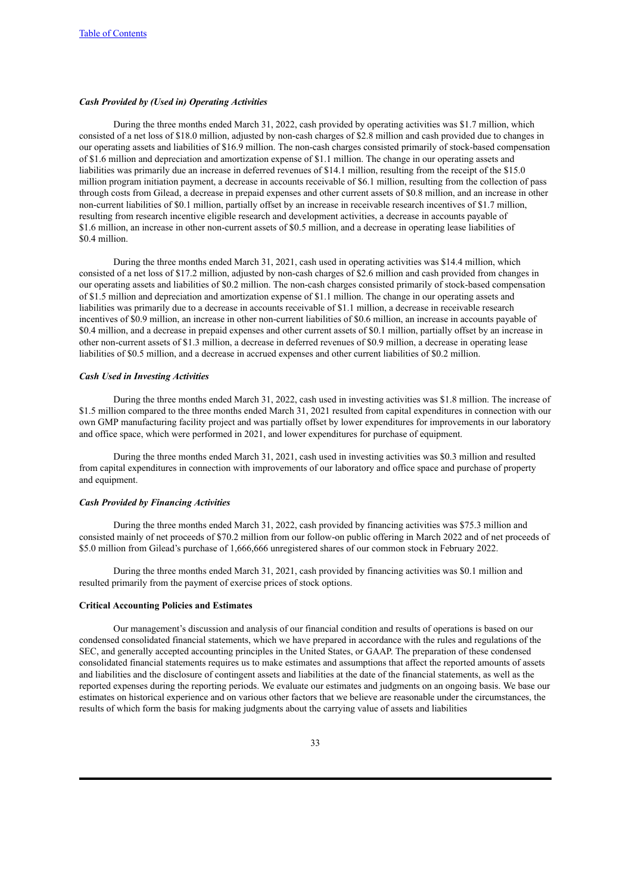### *Cash Provided by (Used in) Operating Activities*

During the three months ended March 31, 2022, cash provided by operating activities was \$1.7 million, which consisted of a net loss of \$18.0 million, adjusted by non-cash charges of \$2.8 million and cash provided due to changes in our operating assets and liabilities of \$16.9 million. The non-cash charges consisted primarily of stock-based compensation of \$1.6 million and depreciation and amortization expense of \$1.1 million. The change in our operating assets and liabilities was primarily due an increase in deferred revenues of \$14.1 million, resulting from the receipt of the \$15.0 million program initiation payment, a decrease in accounts receivable of \$6.1 million, resulting from the collection of pass through costs from Gilead, a decrease in prepaid expenses and other current assets of \$0.8 million, and an increase in other non-current liabilities of \$0.1 million, partially offset by an increase in receivable research incentives of \$1.7 million, resulting from research incentive eligible research and development activities, a decrease in accounts payable of \$1.6 million, an increase in other non-current assets of \$0.5 million, and a decrease in operating lease liabilities of \$0.4 million.

During the three months ended March 31, 2021, cash used in operating activities was \$14.4 million, which consisted of a net loss of \$17.2 million, adjusted by non-cash charges of \$2.6 million and cash provided from changes in our operating assets and liabilities of \$0.2 million. The non-cash charges consisted primarily of stock-based compensation of \$1.5 million and depreciation and amortization expense of \$1.1 million. The change in our operating assets and liabilities was primarily due to a decrease in accounts receivable of \$1.1 million, a decrease in receivable research incentives of \$0.9 million, an increase in other non-current liabilities of \$0.6 million, an increase in accounts payable of \$0.4 million, and a decrease in prepaid expenses and other current assets of \$0.1 million, partially offset by an increase in other non-current assets of \$1.3 million, a decrease in deferred revenues of \$0.9 million, a decrease in operating lease liabilities of \$0.5 million, and a decrease in accrued expenses and other current liabilities of \$0.2 million.

### *Cash Used in Investing Activities*

During the three months ended March 31, 2022, cash used in investing activities was \$1.8 million. The increase of \$1.5 million compared to the three months ended March 31, 2021 resulted from capital expenditures in connection with our own GMP manufacturing facility project and was partially offset by lower expenditures for improvements in our laboratory and office space, which were performed in 2021, and lower expenditures for purchase of equipment.

During the three months ended March 31, 2021, cash used in investing activities was \$0.3 million and resulted from capital expenditures in connection with improvements of our laboratory and office space and purchase of property and equipment.

#### *Cash Provided by Financing Activities*

During the three months ended March 31, 2022, cash provided by financing activities was \$75.3 million and consisted mainly of net proceeds of \$70.2 million from our follow-on public offering in March 2022 and of net proceeds of \$5.0 million from Gilead's purchase of 1,666,666 unregistered shares of our common stock in February 2022.

During the three months ended March 31, 2021, cash provided by financing activities was \$0.1 million and resulted primarily from the payment of exercise prices of stock options.

### **Critical Accounting Policies and Estimates**

Our management's discussion and analysis of our financial condition and results of operations is based on our condensed consolidated financial statements, which we have prepared in accordance with the rules and regulations of the SEC, and generally accepted accounting principles in the United States, or GAAP. The preparation of these condensed consolidated financial statements requires us to make estimates and assumptions that affect the reported amounts of assets and liabilities and the disclosure of contingent assets and liabilities at the date of the financial statements, as well as the reported expenses during the reporting periods. We evaluate our estimates and judgments on an ongoing basis. We base our estimates on historical experience and on various other factors that we believe are reasonable under the circumstances, the results of which form the basis for making judgments about the carrying value of assets and liabilities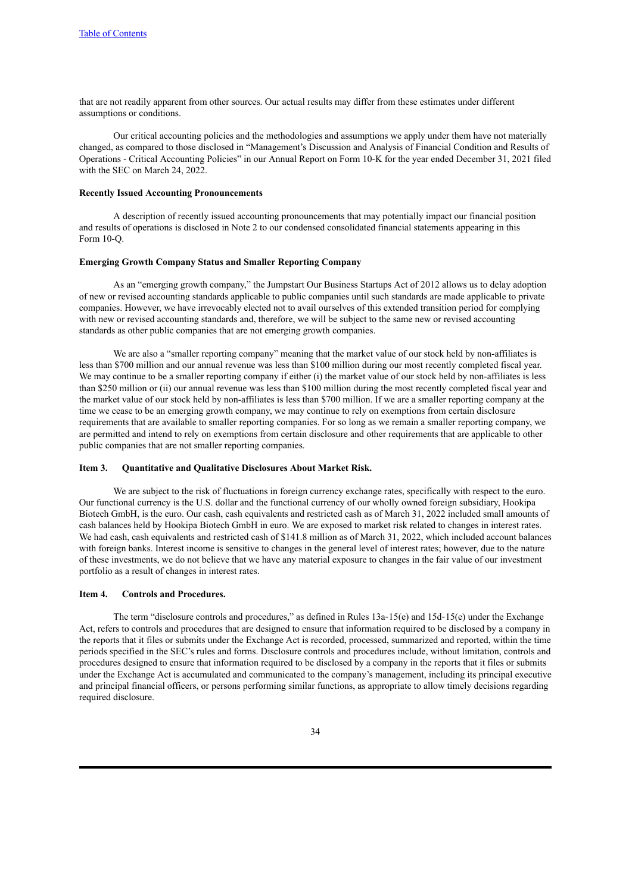that are not readily apparent from other sources. Our actual results may differ from these estimates under different assumptions or conditions.

Our critical accounting policies and the methodologies and assumptions we apply under them have not materially changed, as compared to those disclosed in "Management's Discussion and Analysis of Financial Condition and Results of Operations - Critical Accounting Policies" in our Annual Report on Form 10-K for the year ended December 31, 2021 filed with the SEC on March 24, 2022.

#### **Recently Issued Accounting Pronouncements**

A description of recently issued accounting pronouncements that may potentially impact our financial position and results of operations is disclosed in Note 2 to our condensed consolidated financial statements appearing in this Form  $10-<sub>o</sub>$ 

### **Emerging Growth Company Status and Smaller Reporting Company**

As an "emerging growth company," the Jumpstart Our Business Startups Act of 2012 allows us to delay adoption of new or revised accounting standards applicable to public companies until such standards are made applicable to private companies. However, we have irrevocably elected not to avail ourselves of this extended transition period for complying with new or revised accounting standards and, therefore, we will be subject to the same new or revised accounting standards as other public companies that are not emerging growth companies.

We are also a "smaller reporting company" meaning that the market value of our stock held by non-affiliates is less than \$700 million and our annual revenue was less than \$100 million during our most recently completed fiscal year. We may continue to be a smaller reporting company if either (i) the market value of our stock held by non-affiliates is less than \$250 million or (ii) our annual revenue was less than \$100 million during the most recently completed fiscal year and the market value of our stock held by non-affiliates is less than \$700 million. If we are a smaller reporting company at the time we cease to be an emerging growth company, we may continue to rely on exemptions from certain disclosure requirements that are available to smaller reporting companies. For so long as we remain a smaller reporting company, we are permitted and intend to rely on exemptions from certain disclosure and other requirements that are applicable to other public companies that are not smaller reporting companies.

### <span id="page-37-0"></span>**Item 3. Quantitative and Qualitative Disclosures About Market Risk.**

We are subject to the risk of fluctuations in foreign currency exchange rates, specifically with respect to the euro. Our functional currency is the U.S. dollar and the functional currency of our wholly owned foreign subsidiary, Hookipa Biotech GmbH, is the euro. Our cash, cash equivalents and restricted cash as of March 31, 2022 included small amounts of cash balances held by Hookipa Biotech GmbH in euro. We are exposed to market risk related to changes in interest rates. We had cash, cash equivalents and restricted cash of \$141.8 million as of March 31, 2022, which included account balances with foreign banks. Interest income is sensitive to changes in the general level of interest rates; however, due to the nature of these investments, we do not believe that we have any material exposure to changes in the fair value of our investment portfolio as a result of changes in interest rates.

#### <span id="page-37-1"></span>**Item 4. Controls and Procedures.**

The term "disclosure controls and procedures," as defined in Rules 13a–15(e) and 15d–15(e) under the Exchange Act, refers to controls and procedures that are designed to ensure that information required to be disclosed by a company in the reports that it files or submits under the Exchange Act is recorded, processed, summarized and reported, within the time periods specified in the SEC's rules and forms. Disclosure controls and procedures include, without limitation, controls and procedures designed to ensure that information required to be disclosed by a company in the reports that it files or submits under the Exchange Act is accumulated and communicated to the company's management, including its principal executive and principal financial officers, or persons performing similar functions, as appropriate to allow timely decisions regarding required disclosure.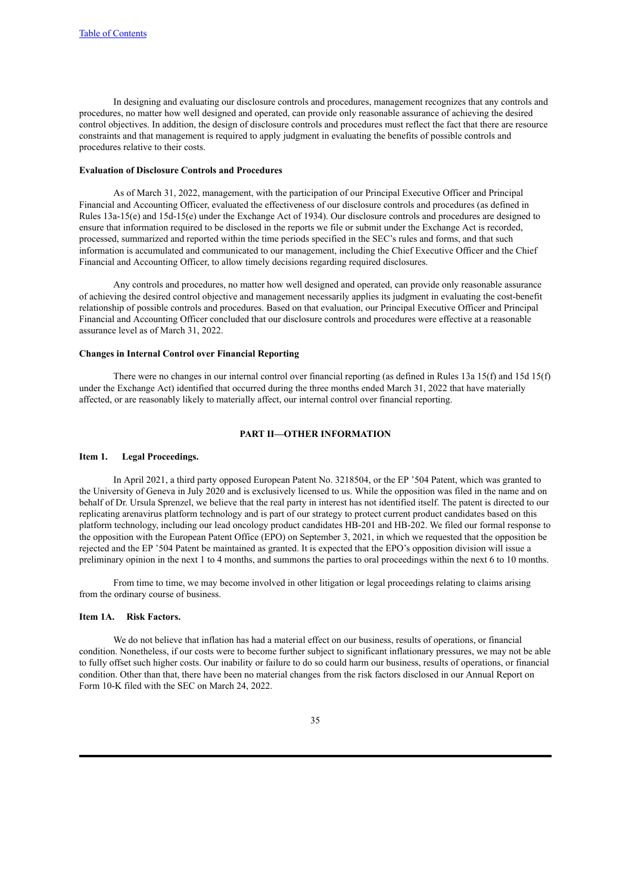In designing and evaluating our disclosure controls and procedures, management recognizes that any controls and procedures, no matter how well designed and operated, can provide only reasonable assurance of achieving the desired control objectives. In addition, the design of disclosure controls and procedures must reflect the fact that there are resource constraints and that management is required to apply judgment in evaluating the benefits of possible controls and procedures relative to their costs.

#### **Evaluation of Disclosure Controls and Procedures**

As of March 31, 2022, management, with the participation of our Principal Executive Officer and Principal Financial and Accounting Officer, evaluated the effectiveness of our disclosure controls and procedures (as defined in Rules 13a-15(e) and 15d-15(e) under the Exchange Act of 1934). Our disclosure controls and procedures are designed to ensure that information required to be disclosed in the reports we file or submit under the Exchange Act is recorded, processed, summarized and reported within the time periods specified in the SEC's rules and forms, and that such information is accumulated and communicated to our management, including the Chief Executive Officer and the Chief Financial and Accounting Officer, to allow timely decisions regarding required disclosures.

Any controls and procedures, no matter how well designed and operated, can provide only reasonable assurance of achieving the desired control objective and management necessarily applies its judgment in evaluating the cost-benefit relationship of possible controls and procedures. Based on that evaluation, our Principal Executive Officer and Principal Financial and Accounting Officer concluded that our disclosure controls and procedures were effective at a reasonable assurance level as of March 31, 2022.

# **Changes in Internal Control over Financial Reporting**

There were no changes in our internal control over financial reporting (as defined in Rules 13a 15(f) and 15d 15(f) under the Exchange Act) identified that occurred during the three months ended March 31, 2022 that have materially affected, or are reasonably likely to materially affect, our internal control over financial reporting.

#### **PART II—OTHER INFORMATION**

# <span id="page-38-1"></span><span id="page-38-0"></span>**Item 1. Legal Proceedings.**

In April 2021, a third party opposed European Patent No. 3218504, or the EP '504 Patent, which was granted to the University of Geneva in July 2020 and is exclusively licensed to us. While the opposition was filed in the name and on behalf of Dr. Ursula Sprenzel, we believe that the real party in interest has not identified itself. The patent is directed to our replicating arenavirus platform technology and is part of our strategy to protect current product candidates based on this platform technology, including our lead oncology product candidates HB-201 and HB-202. We filed our formal response to the opposition with the European Patent Office (EPO) on September 3, 2021, in which we requested that the opposition be rejected and the EP '504 Patent be maintained as granted. It is expected that the EPO's opposition division will issue a preliminary opinion in the next 1 to 4 months, and summons the parties to oral proceedings within the next 6 to 10 months.

From time to time, we may become involved in other litigation or legal proceedings relating to claims arising from the ordinary course of business.

# <span id="page-38-2"></span>**Item 1A. Risk Factors.**

We do not believe that inflation has had a material effect on our business, results of operations, or financial condition. Nonetheless, if our costs were to become further subject to significant inflationary pressures, we may not be able to fully offset such higher costs. Our inability or failure to do so could harm our business, results of operations, or financial condition. Other than that, there have been no material changes from the risk factors disclosed in our Annual Report on Form 10-K filed with the SEC on March 24, 2022.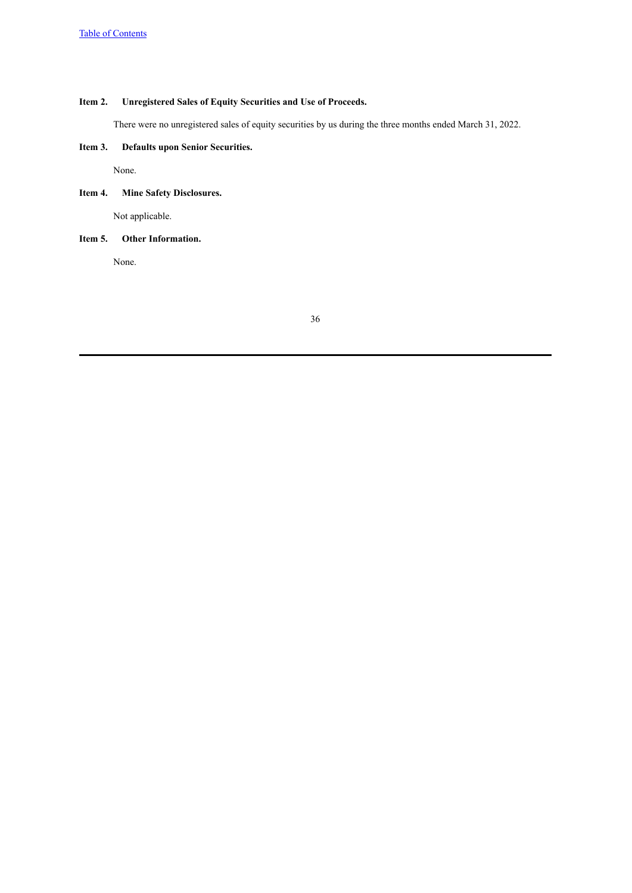# <span id="page-39-0"></span>**Item 2. Unregistered Sales of Equity Securities and Use of Proceeds.**

There were no unregistered sales of equity securities by us during the three months ended March 31, 2022.

# <span id="page-39-1"></span>**Item 3. Defaults upon Senior Securities.**

None.

# <span id="page-39-2"></span>**Item 4. Mine Safety Disclosures.**

Not applicable.

# <span id="page-39-3"></span>**Item 5. Other Information.**

None.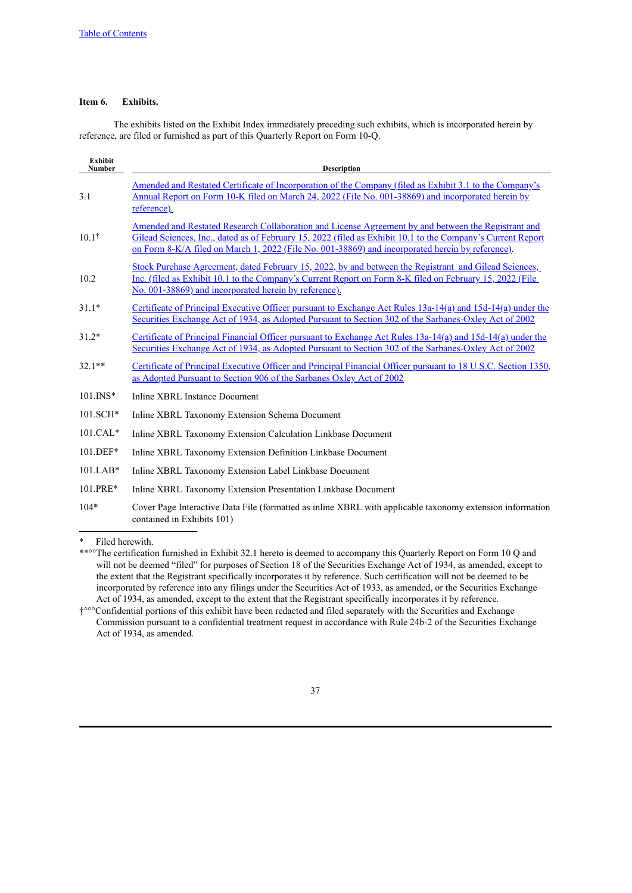# <span id="page-40-0"></span>**Item 6. Exhibits.**

The exhibits listed on the Exhibit Index immediately preceding such exhibits, which is incorporated herein by reference, are filed or furnished as part of this Quarterly Report on Form 10-Q.

| <b>Exhibit</b><br>Number | <b>Description</b>                                                                                                                                                                                                                                                                                                     |
|--------------------------|------------------------------------------------------------------------------------------------------------------------------------------------------------------------------------------------------------------------------------------------------------------------------------------------------------------------|
| 3.1                      | Amended and Restated Certificate of Incorporation of the Company (filed as Exhibit 3.1 to the Company's<br>Annual Report on Form 10-K filed on March 24, 2022 (File No. 001-38869) and incorporated herein by<br>reference).                                                                                           |
| $10.1^{\dagger}$         | Amended and Restated Research Collaboration and License Agreement by and between the Registrant and<br>Gilead Sciences, Inc., dated as of February 15, 2022 (filed as Exhibit 10.1 to the Company's Current Report<br>on Form 8-K/A filed on March 1, 2022 (File No. 001-38869) and incorporated herein by reference). |
| 10.2                     | Stock Purchase Agreement, dated February 15, 2022, by and between the Registrant and Gilead Sciences,<br>Inc. (filed as Exhibit 10.1 to the Company's Current Report on Form 8-K filed on February 15, 2022 (File<br>No. 001-38869) and incorporated herein by reference).                                             |
| $31.1*$                  | Certificate of Principal Executive Officer pursuant to Exchange Act Rules 13a-14(a) and 15d-14(a) under the<br>Securities Exchange Act of 1934, as Adopted Pursuant to Section 302 of the Sarbanes-Oxley Act of 2002                                                                                                   |
| $31.2*$                  | Certificate of Principal Financial Officer pursuant to Exchange Act Rules 13a-14(a) and 15d-14(a) under the<br>Securities Exchange Act of 1934, as Adopted Pursuant to Section 302 of the Sarbanes-Oxley Act of 2002                                                                                                   |
| $32.1**$                 | Certificate of Principal Executive Officer and Principal Financial Officer pursuant to 18 U.S.C. Section 1350,<br>as Adopted Pursuant to Section 906 of the Sarbanes Oxley Act of 2002                                                                                                                                 |
| $101$ INS*               | Inline XBRL Instance Document                                                                                                                                                                                                                                                                                          |
| $101.SCH*$               | Inline XBRL Taxonomy Extension Schema Document                                                                                                                                                                                                                                                                         |
| $101.CAL*$               | Inline XBRL Taxonomy Extension Calculation Linkbase Document                                                                                                                                                                                                                                                           |
| $101.DEF*$               | Inline XBRL Taxonomy Extension Definition Linkbase Document                                                                                                                                                                                                                                                            |
| $101.LAB*$               | Inline XBRL Taxonomy Extension Label Linkbase Document                                                                                                                                                                                                                                                                 |
| 101.PRE*                 | Inline XBRL Taxonomy Extension Presentation Linkbase Document                                                                                                                                                                                                                                                          |
| $104*$                   | Cover Page Interactive Data File (formatted as inline XBRL with applicable taxonomy extension information<br>contained in Exhibits 101)                                                                                                                                                                                |

\* Filed herewith.



<sup>\*\*°°</sup>The certification furnished in Exhibit 32.1 hereto is deemed to accompany this Quarterly Report on Form 10 Q and will not be deemed "filed" for purposes of Section 18 of the Securities Exchange Act of 1934, as amended, except to the extent that the Registrant specifically incorporates it by reference. Such certification will not be deemed to be incorporated by reference into any filings under the Securities Act of 1933, as amended, or the Securities Exchange Act of 1934, as amended, except to the extent that the Registrant specifically incorporates it by reference.

<sup>†°°°</sup>Confidential portions of this exhibit have been redacted and filed separately with the Securities and Exchange Commission pursuant to a confidential treatment request in accordance with Rule 24b-2 of the Securities Exchange Act of 1934, as amended.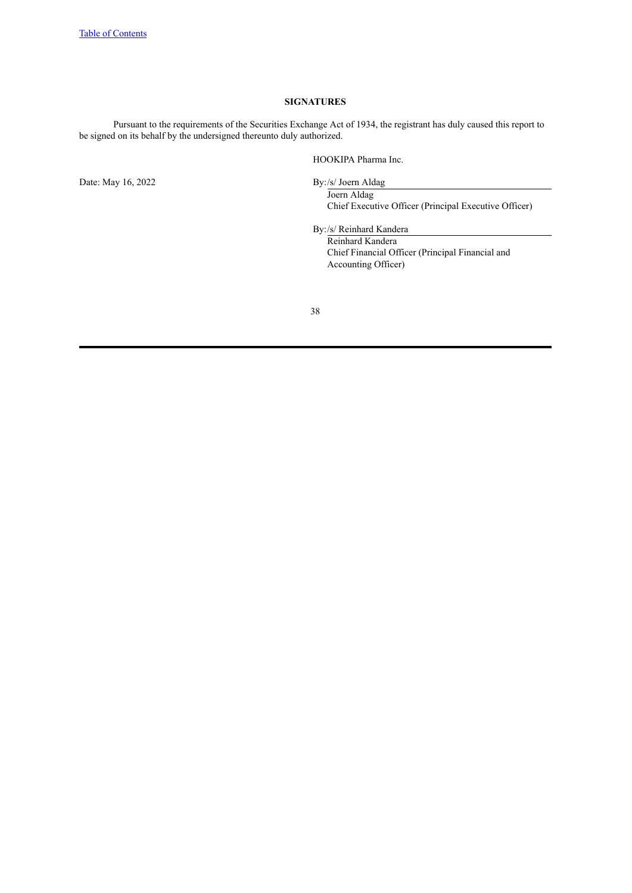# **SIGNATURES**

<span id="page-41-0"></span>Pursuant to the requirements of the Securities Exchange Act of 1934, the registrant has duly caused this report to be signed on its behalf by the undersigned thereunto duly authorized.

HOOKIPA Pharma Inc.

Date: May 16, 2022 By:/s/ Joern Aldag

Joern Aldag Chief Executive Officer (Principal Executive Officer)

By:/s/ Reinhard Kandera

Reinhard Kandera Chief Financial Officer (Principal Financial and Accounting Officer)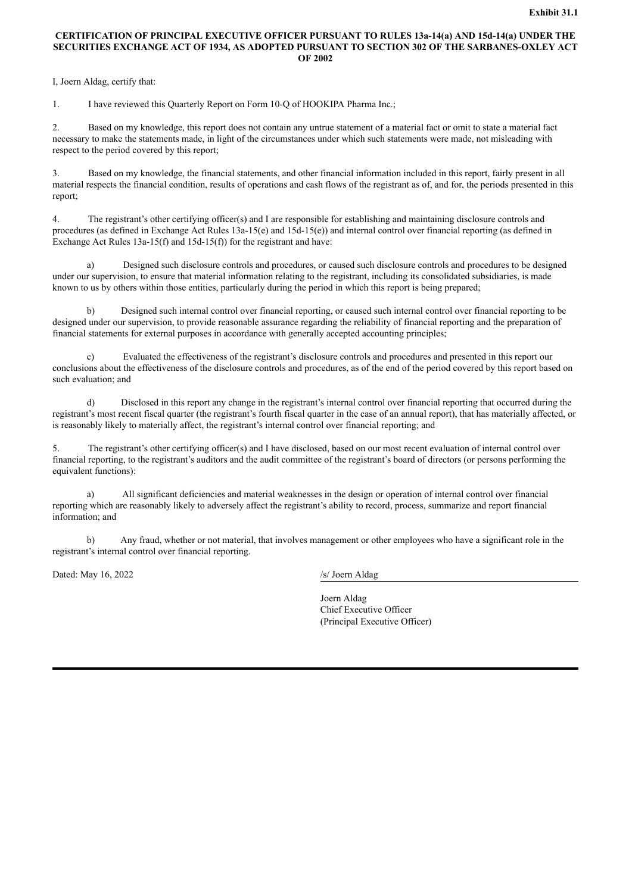# <span id="page-42-0"></span>**CERTIFICATION OF PRINCIPAL EXECUTIVE OFFICER PURSUANT TO RULES 13a-14(a) AND 15d-14(a) UNDER THE SECURITIES EXCHANGE ACT OF 1934, AS ADOPTED PURSUANT TO SECTION 302 OF THE SARBANES-OXLEY ACT OF 2002**

I, Joern Aldag, certify that:

1. I have reviewed this Quarterly Report on Form 10-Q of HOOKIPA Pharma Inc.;

2. Based on my knowledge, this report does not contain any untrue statement of a material fact or omit to state a material fact necessary to make the statements made, in light of the circumstances under which such statements were made, not misleading with respect to the period covered by this report;

3. Based on my knowledge, the financial statements, and other financial information included in this report, fairly present in all material respects the financial condition, results of operations and cash flows of the registrant as of, and for, the periods presented in this report;

4. The registrant's other certifying officer(s) and I are responsible for establishing and maintaining disclosure controls and procedures (as defined in Exchange Act Rules 13a-15(e) and 15d-15(e)) and internal control over financial reporting (as defined in Exchange Act Rules 13a-15(f) and 15d-15(f)) for the registrant and have:

a) Designed such disclosure controls and procedures, or caused such disclosure controls and procedures to be designed under our supervision, to ensure that material information relating to the registrant, including its consolidated subsidiaries, is made known to us by others within those entities, particularly during the period in which this report is being prepared;

b) Designed such internal control over financial reporting, or caused such internal control over financial reporting to be designed under our supervision, to provide reasonable assurance regarding the reliability of financial reporting and the preparation of financial statements for external purposes in accordance with generally accepted accounting principles;

Evaluated the effectiveness of the registrant's disclosure controls and procedures and presented in this report our conclusions about the effectiveness of the disclosure controls and procedures, as of the end of the period covered by this report based on such evaluation; and

d) Disclosed in this report any change in the registrant's internal control over financial reporting that occurred during the registrant's most recent fiscal quarter (the registrant's fourth fiscal quarter in the case of an annual report), that has materially affected, or is reasonably likely to materially affect, the registrant's internal control over financial reporting; and

5. The registrant's other certifying officer(s) and I have disclosed, based on our most recent evaluation of internal control over financial reporting, to the registrant's auditors and the audit committee of the registrant's board of directors (or persons performing the equivalent functions):

a) All significant deficiencies and material weaknesses in the design or operation of internal control over financial reporting which are reasonably likely to adversely affect the registrant's ability to record, process, summarize and report financial information; and

b) Any fraud, whether or not material, that involves management or other employees who have a significant role in the registrant's internal control over financial reporting.

Dated: May 16, 2022 /s/ Joern Aldag

Joern Aldag Chief Executive Officer (Principal Executive Officer)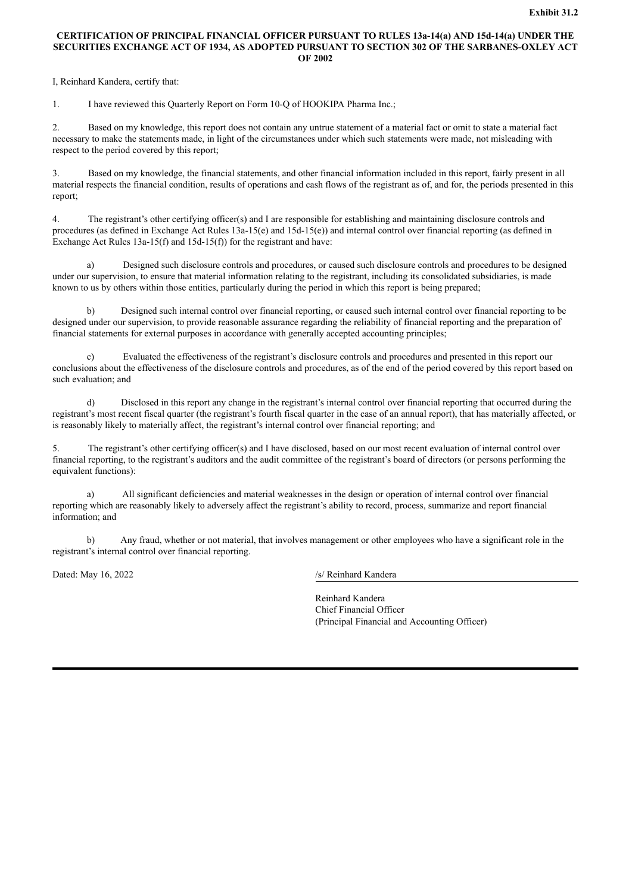# <span id="page-43-0"></span>**CERTIFICATION OF PRINCIPAL FINANCIAL OFFICER PURSUANT TO RULES 13a-14(a) AND 15d-14(a) UNDER THE SECURITIES EXCHANGE ACT OF 1934, AS ADOPTED PURSUANT TO SECTION 302 OF THE SARBANES-OXLEY ACT OF 2002**

I, Reinhard Kandera, certify that:

1. I have reviewed this Quarterly Report on Form 10-Q of HOOKIPA Pharma Inc.;

2. Based on my knowledge, this report does not contain any untrue statement of a material fact or omit to state a material fact necessary to make the statements made, in light of the circumstances under which such statements were made, not misleading with respect to the period covered by this report;

3. Based on my knowledge, the financial statements, and other financial information included in this report, fairly present in all material respects the financial condition, results of operations and cash flows of the registrant as of, and for, the periods presented in this report;

4. The registrant's other certifying officer(s) and I are responsible for establishing and maintaining disclosure controls and procedures (as defined in Exchange Act Rules 13a-15(e) and 15d-15(e)) and internal control over financial reporting (as defined in Exchange Act Rules 13a-15(f) and 15d-15(f)) for the registrant and have:

a) Designed such disclosure controls and procedures, or caused such disclosure controls and procedures to be designed under our supervision, to ensure that material information relating to the registrant, including its consolidated subsidiaries, is made known to us by others within those entities, particularly during the period in which this report is being prepared;

b) Designed such internal control over financial reporting, or caused such internal control over financial reporting to be designed under our supervision, to provide reasonable assurance regarding the reliability of financial reporting and the preparation of financial statements for external purposes in accordance with generally accepted accounting principles;

Evaluated the effectiveness of the registrant's disclosure controls and procedures and presented in this report our conclusions about the effectiveness of the disclosure controls and procedures, as of the end of the period covered by this report based on such evaluation; and

d) Disclosed in this report any change in the registrant's internal control over financial reporting that occurred during the registrant's most recent fiscal quarter (the registrant's fourth fiscal quarter in the case of an annual report), that has materially affected, or is reasonably likely to materially affect, the registrant's internal control over financial reporting; and

5. The registrant's other certifying officer(s) and I have disclosed, based on our most recent evaluation of internal control over financial reporting, to the registrant's auditors and the audit committee of the registrant's board of directors (or persons performing the equivalent functions):

a) All significant deficiencies and material weaknesses in the design or operation of internal control over financial reporting which are reasonably likely to adversely affect the registrant's ability to record, process, summarize and report financial information; and

b) Any fraud, whether or not material, that involves management or other employees who have a significant role in the registrant's internal control over financial reporting.

Dated: May 16, 2022 /s/ Reinhard Kandera

Reinhard Kandera Chief Financial Officer (Principal Financial and Accounting Officer)